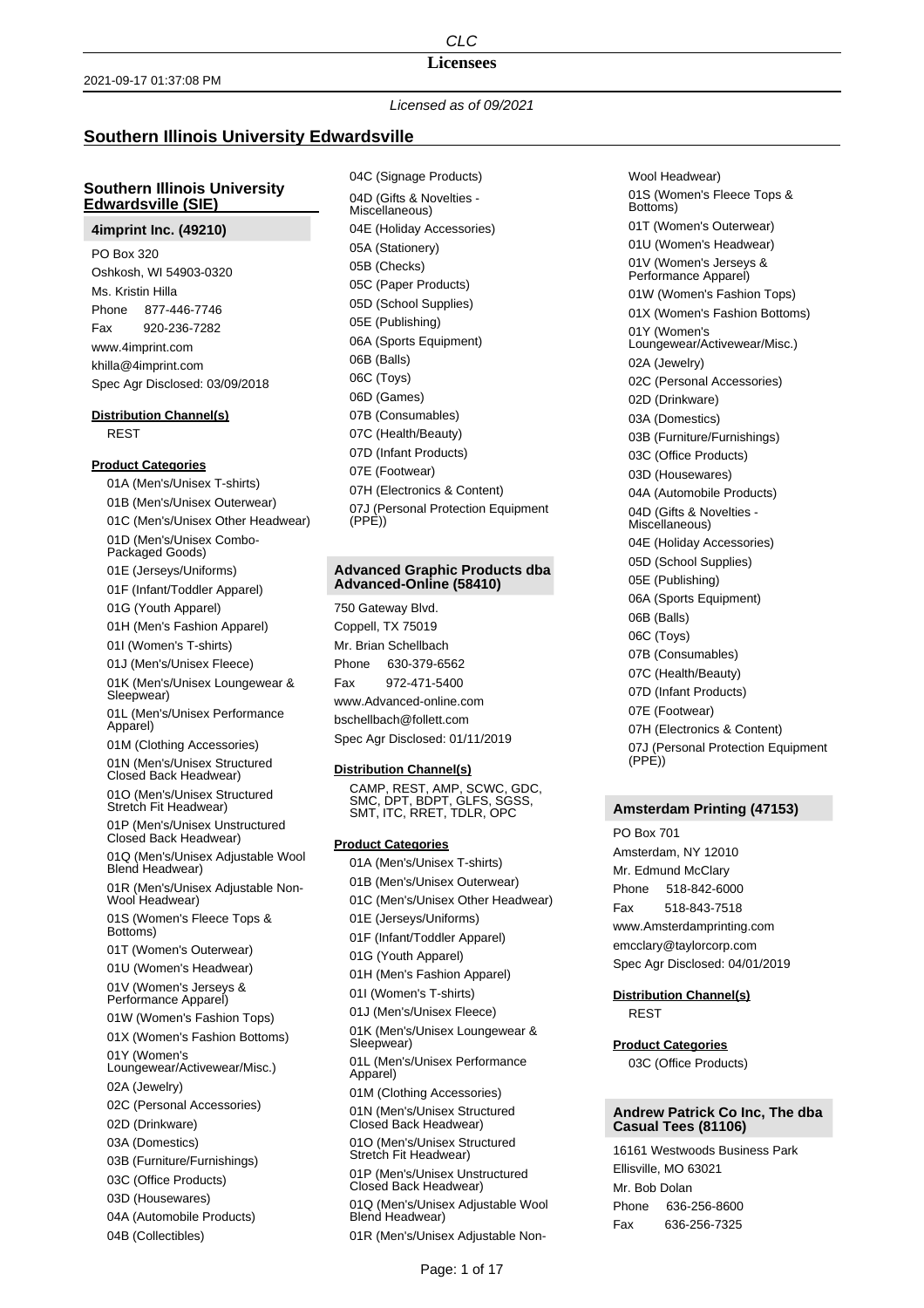### **Licensees**

*Licensed as of 09/2021*

# **Southern Illinois University Edwardsville**

# **Southern Illinois University Edwardsville (SIE)**

## **4imprint Inc. (49210)**

PO Box 320 Oshkosh, WI 54903-0320 Ms. Kristin Hilla Phone 877-446-7746 Fax 920-236-7282 www.4imprint.com khilla@4imprint.com Spec Agr Disclosed: 03/09/2018

### **Distribution Channel(s)**

REST

#### **Product Categories**

01A (Men's/Unisex T-shirts) 01B (Men's/Unisex Outerwear) 01C (Men's/Unisex Other Headwear) 01D (Men's/Unisex Combo-Packaged Goods) 01E (Jerseys/Uniforms) 01F (Infant/Toddler Apparel) 01G (Youth Apparel) 01H (Men's Fashion Apparel) 01I (Women's T-shirts) 01J (Men's/Unisex Fleece) 01K (Men's/Unisex Loungewear & Sleepwear) 01L (Men's/Unisex Performance Apparel) 01M (Clothing Accessories) 01N (Men's/Unisex Structured Closed Back Headwear) 01O (Men's/Unisex Structured Stretch Fit Headwear) 01P (Men's/Unisex Unstructured Closed Back Headwear) 01Q (Men's/Unisex Adjustable Wool Blend Headwear) 01R (Men's/Unisex Adjustable Non-Wool Headwear) 01S (Women's Fleece Tops & Bottoms) 01T (Women's Outerwear) 01U (Women's Headwear) 01V (Women's Jerseys & Performance Apparel) 01W (Women's Fashion Tops) 01X (Women's Fashion Bottoms) 01Y (Women's Loungewear/Activewear/Misc.) 02A (Jewelry) 02C (Personal Accessories) 02D (Drinkware) 03A (Domestics) 03B (Furniture/Furnishings) 03C (Office Products) 03D (Housewares) 04A (Automobile Products) 04B (Collectibles)

04C (Signage Products) 04D (Gifts & Novelties - Miscellaneous) 04E (Holiday Accessories) 05A (Stationery) 05B (Checks) 05C (Paper Products) 05D (School Supplies) 05E (Publishing) 06A (Sports Equipment) 06B (Balls) 06C (Toys) 06D (Games) 07B (Consumables) 07C (Health/Beauty) 07D (Infant Products) 07E (Footwear) 07H (Electronics & Content) 07J (Personal Protection Equipment (PPE))

#### **Advanced Graphic Products dba Advanced-Online (58410)**

750 Gateway Blvd. Coppell, TX 75019 Mr. Brian Schellbach Phone 630-379-6562 Fax 972-471-5400 www.Advanced-online.com bschellbach@follett.com

Spec Agr Disclosed: 01/11/2019

## **Distribution Channel(s)**

CAMP, REST, AMP, SCWC, GDC, SMC, DPT, BDPT, GLFS, SGSS, SMT, ITC, RRET, TDLR, OPC

## **Product Categories**

01A (Men's/Unisex T-shirts) 01B (Men's/Unisex Outerwear) 01C (Men's/Unisex Other Headwear) 01E (Jerseys/Uniforms) 01F (Infant/Toddler Apparel) 01G (Youth Apparel) 01H (Men's Fashion Apparel) 01I (Women's T-shirts) 01J (Men's/Unisex Fleece) 01K (Men's/Unisex Loungewear & Sleepwear) 01L (Men's/Unisex Performance Apparel) 01M (Clothing Accessories) 01N (Men's/Unisex Structured Closed Back Headwear) 01O (Men's/Unisex Structured Stretch Fit Headwear) 01P (Men's/Unisex Unstructured Closed Back Headwear) 01Q (Men's/Unisex Adjustable Wool Blend Headwear)

01R (Men's/Unisex Adjustable Non-

Wool Headwear) 01S (Women's Fleece Tops & Bottoms) 01T (Women's Outerwear) 01U (Women's Headwear) 01V (Women's Jerseys & Performance Apparel) 01W (Women's Fashion Tops) 01X (Women's Fashion Bottoms) 01Y (Women's Loungewear/Activewear/Misc.) 02A (Jewelry) 02C (Personal Accessories) 02D (Drinkware) 03A (Domestics) 03B (Furniture/Furnishings) 03C (Office Products) 03D (Housewares) 04A (Automobile Products) 04D (Gifts & Novelties - Miscellaneous) 04E (Holiday Accessories) 05D (School Supplies) 05E (Publishing) 06A (Sports Equipment) 06B (Balls) 06C (Toys) 07B (Consumables) 07C (Health/Beauty) 07D (Infant Products) 07E (Footwear) 07H (Electronics & Content) 07J (Personal Protection Equipment (PPE))

# **Amsterdam Printing (47153)**

PO Box 701 Amsterdam, NY 12010 Mr. Edmund McClary Phone 518-842-6000 Fax 518-843-7518 www.Amsterdamprinting.com emcclary@taylorcorp.com Spec Agr Disclosed: 04/01/2019

# **Distribution Channel(s)** REST

## **Product Categories**

03C (Office Products)

## **Andrew Patrick Co Inc, The dba Casual Tees (81106)**

16161 Westwoods Business Park Ellisville, MO 63021 Mr. Bob Dolan Phone 636-256-8600 Fax 636-256-7325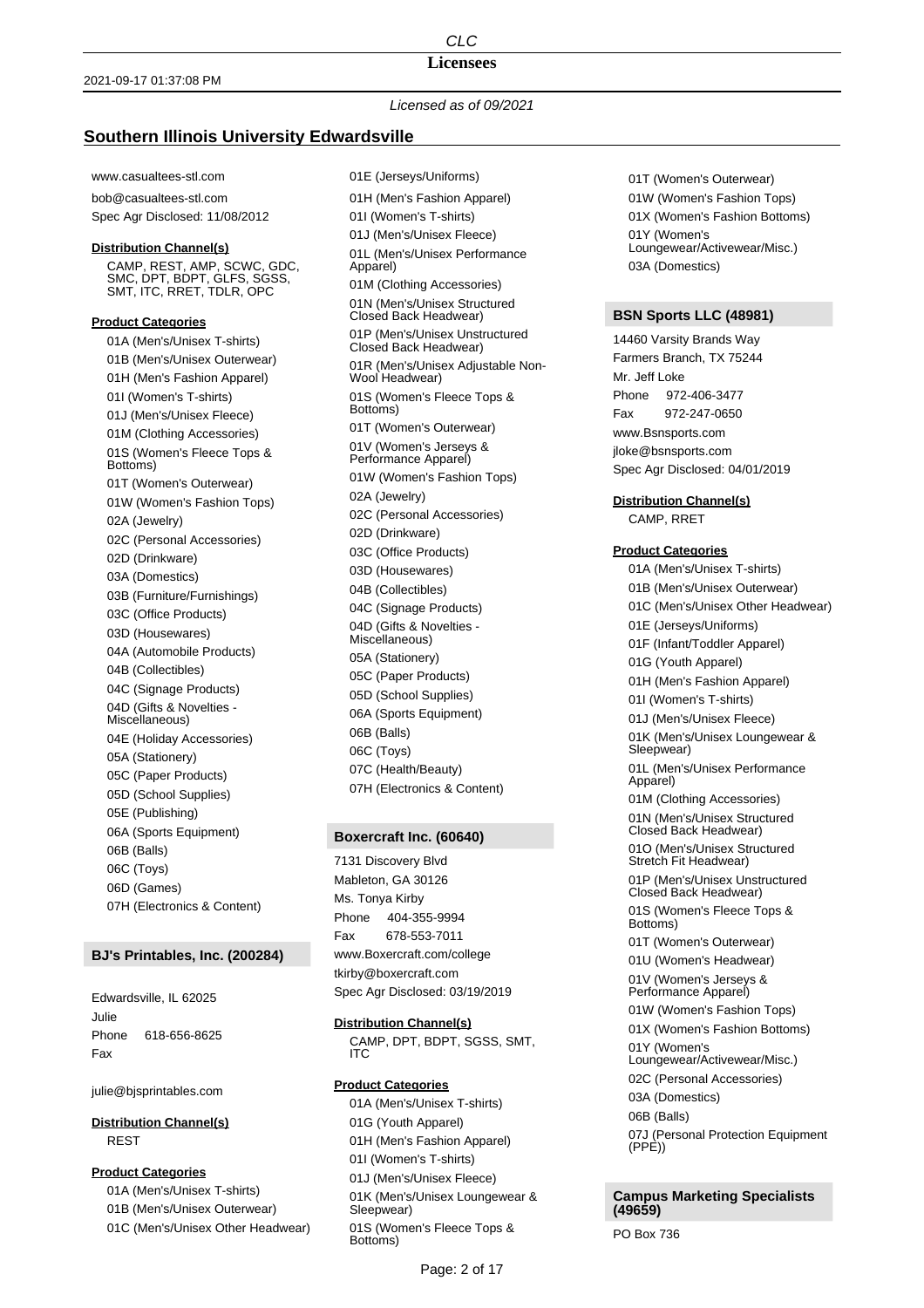## **Licensees**

## *Licensed as of 09/2021*

# **Southern Illinois University Edwardsville**

www.casualtees-stl.com

bob@casualtees-stl.com Spec Agr Disclosed: 11/08/2012

### **Distribution Channel(s)**

CAMP, REST, AMP, SCWC, GDC, SMC, DPT, BDPT, GLFS, SGSS, SMT, ITC, RRET, TDLR, OPC

## **Product Categories**

01A (Men's/Unisex T-shirts) 01B (Men's/Unisex Outerwear) 01H (Men's Fashion Apparel) 01I (Women's T-shirts) 01J (Men's/Unisex Fleece) 01M (Clothing Accessories) 01S (Women's Fleece Tops & Bottoms) 01T (Women's Outerwear) 01W (Women's Fashion Tops) 02A (Jewelry) 02C (Personal Accessories) 02D (Drinkware) 03A (Domestics) 03B (Furniture/Furnishings) 03C (Office Products) 03D (Housewares) 04A (Automobile Products) 04B (Collectibles) 04C (Signage Products) 04D (Gifts & Novelties - Miscellaneous) 04E (Holiday Accessories) 05A (Stationery) 05C (Paper Products) 05D (School Supplies) 05E (Publishing) 06A (Sports Equipment) 06B (Balls) 06C (Toys) 06D (Games) 07H (Electronics & Content)

## **BJ's Printables, Inc. (200284)**

Edwardsville, IL 62025 Julie Phone 618-656-8625 Fax

julie@bjsprintables.com

**Distribution Channel(s)** REST

### **Product Categories**

01A (Men's/Unisex T-shirts) 01B (Men's/Unisex Outerwear) 01C (Men's/Unisex Other Headwear) 01E (Jerseys/Uniforms) 01H (Men's Fashion Apparel) 01I (Women's T-shirts) 01J (Men's/Unisex Fleece) 01L (Men's/Unisex Performance Apparel) 01M (Clothing Accessories) 01N (Men's/Unisex Structured Closed Back Headwear) 01P (Men's/Unisex Unstructured Closed Back Headwear) 01R (Men's/Unisex Adjustable Non-Wool Headwear) 01S (Women's Fleece Tops & Bottoms) 01T (Women's Outerwear) 01V (Women's Jerseys & Performance Apparel) 01W (Women's Fashion Tops) 02A (Jewelry) 02C (Personal Accessories) 02D (Drinkware) 03C (Office Products) 03D (Housewares) 04B (Collectibles) 04C (Signage Products) 04D (Gifts & Novelties - Miscellaneous) 05A (Stationery) 05C (Paper Products) 05D (School Supplies) 06A (Sports Equipment) 06B (Balls) 06C (Toys)

07C (Health/Beauty) 07H (Electronics & Content)

#### **Boxercraft Inc. (60640)**

7131 Discovery Blvd Mableton, GA 30126 Ms. Tonya Kirby Phone 404-355-9994 Fax 678-553-7011 www.Boxercraft.com/college tkirby@boxercraft.com Spec Agr Disclosed: 03/19/2019

#### **Distribution Channel(s)**

CAMP, DPT, BDPT, SGSS, SMT, ITC

## **Product Categories**

01A (Men's/Unisex T-shirts) 01G (Youth Apparel) 01H (Men's Fashion Apparel) 01I (Women's T-shirts) 01J (Men's/Unisex Fleece) 01K (Men's/Unisex Loungewear & Sleepwear) 01S (Women's Fleece Tops & Bottoms)

01T (Women's Outerwear) 01W (Women's Fashion Tops) 01X (Women's Fashion Bottoms) 01Y (Women's Loungewear/Activewear/Misc.) 03A (Domestics)

# **BSN Sports LLC (48981)**

14460 Varsity Brands Way Farmers Branch, TX 75244 Mr. Jeff Loke Phone 972-406-3477 Fax 972-247-0650 www.Bsnsports.com jloke@bsnsports.com Spec Agr Disclosed: 04/01/2019

#### **Distribution Channel(s)**

CAMP, RRET

## **Product Categories**

01A (Men's/Unisex T-shirts) 01B (Men's/Unisex Outerwear) 01C (Men's/Unisex Other Headwear) 01E (Jerseys/Uniforms) 01F (Infant/Toddler Apparel) 01G (Youth Apparel) 01H (Men's Fashion Apparel) 01I (Women's T-shirts) 01J (Men's/Unisex Fleece) 01K (Men's/Unisex Loungewear & Sleepwear) 01L (Men's/Unisex Performance Apparel) 01M (Clothing Accessories) 01N (Men's/Unisex Structured Closed Back Headwear) 01O (Men's/Unisex Structured Stretch Fit Headwear) 01P (Men's/Unisex Unstructured Closed Back Headwear) 01S (Women's Fleece Tops & Bottoms) 01T (Women's Outerwear) 01U (Women's Headwear) 01V (Women's Jerseys & Performance Apparel) 01W (Women's Fashion Tops) 01X (Women's Fashion Bottoms) 01Y (Women's Loungewear/Activewear/Misc.) 02C (Personal Accessories) 03A (Domestics) 06B (Balls) 07J (Personal Protection Equipment (PPE))

**Campus Marketing Specialists (49659)**

PO Box 736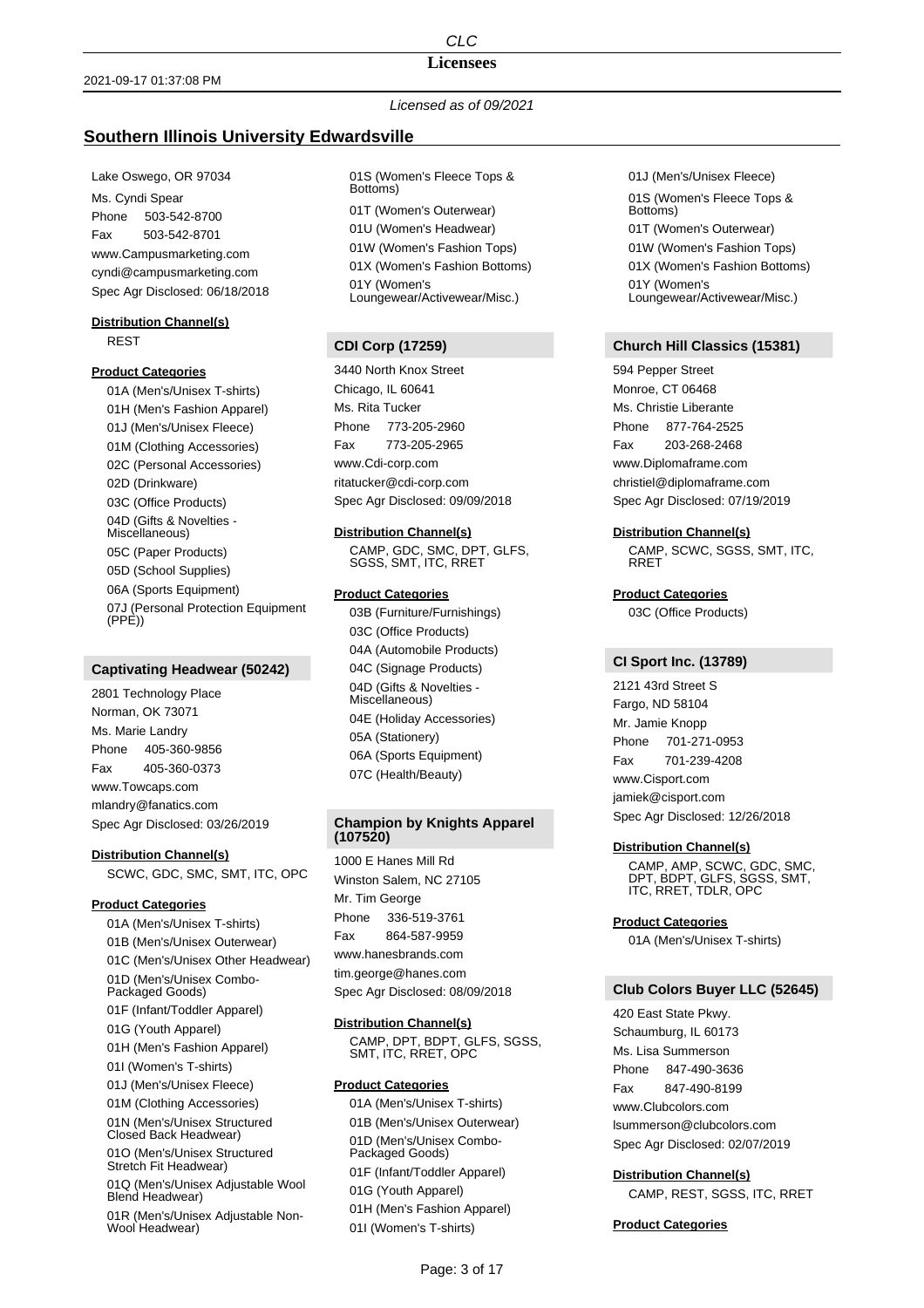## **Licensees**

# *Licensed as of 09/2021*

# **Southern Illinois University Edwardsville**

Lake Oswego, OR 97034 Ms. Cyndi Spear Phone 503-542-8700 Fax 503-542-8701 www.Campusmarketing.com cyndi@campusmarketing.com Spec Agr Disclosed: 06/18/2018

### **Distribution Channel(s)** REST

# **Product Categories**

01A (Men's/Unisex T-shirts) 01H (Men's Fashion Apparel) 01J (Men's/Unisex Fleece) 01M (Clothing Accessories) 02C (Personal Accessories) 02D (Drinkware) 03C (Office Products) 04D (Gifts & Novelties - Miscellaneous) 05C (Paper Products) 05D (School Supplies) 06A (Sports Equipment) 07J (Personal Protection Equipment (PPE))

# **Captivating Headwear (50242)**

2801 Technology Place Norman, OK 73071 Ms. Marie Landry Phone 405-360-9856 Fax 405-360-0373 www.Towcaps.com mlandry@fanatics.com Spec Agr Disclosed: 03/26/2019

### **Distribution Channel(s)**

SCWC, GDC, SMC, SMT, ITC, OPC

## **Product Categories**

01A (Men's/Unisex T-shirts) 01B (Men's/Unisex Outerwear) 01C (Men's/Unisex Other Headwear) 01D (Men's/Unisex Combo-Packaged Goods) 01F (Infant/Toddler Apparel) 01G (Youth Apparel) 01H (Men's Fashion Apparel) 01I (Women's T-shirts) 01J (Men's/Unisex Fleece) 01M (Clothing Accessories) 01N (Men's/Unisex Structured Closed Back Headwear) 01O (Men's/Unisex Structured Stretch Fit Headwear) 01Q (Men's/Unisex Adjustable Wool Blend Headwear) 01R (Men's/Unisex Adjustable Non-Wool Headwear)

01S (Women's Fleece Tops & Bottoms) 01T (Women's Outerwear) 01U (Women's Headwear) 01W (Women's Fashion Tops) 01X (Women's Fashion Bottoms) 01Y (Women's Loungewear/Activewear/Misc.)

# **CDI Corp (17259)**

3440 North Knox Street Chicago, IL 60641 Ms. Rita Tucker Phone 773-205-2960 Fax 773-205-2965 www.Cdi-corp.com ritatucker@cdi-corp.com Spec Agr Disclosed: 09/09/2018

### **Distribution Channel(s)**

CAMP, GDC, SMC, DPT, GLFS, SGSS, SMT, ITC, RRET

## **Product Categories**

03B (Furniture/Furnishings) 03C (Office Products) 04A (Automobile Products) 04C (Signage Products) 04D (Gifts & Novelties - Miscellaneous) 04E (Holiday Accessories) 05A (Stationery) 06A (Sports Equipment) 07C (Health/Beauty)

# **Champion by Knights Apparel (107520)**

1000 E Hanes Mill Rd Winston Salem, NC 27105 Mr. Tim George Phone 336-519-3761 Fax 864-587-9959 www.hanesbrands.com tim.george@hanes.com Spec Agr Disclosed: 08/09/2018

## **Distribution Channel(s)**

CAMP, DPT, BDPT, GLFS, SGSS, SMT, ITC, RRET, OPC

## **Product Categories**

01A (Men's/Unisex T-shirts) 01B (Men's/Unisex Outerwear) 01D (Men's/Unisex Combo-Packaged Goods) 01F (Infant/Toddler Apparel) 01G (Youth Apparel) 01H (Men's Fashion Apparel) 01I (Women's T-shirts)

01J (Men's/Unisex Fleece) 01S (Women's Fleece Tops & Bottoms) 01T (Women's Outerwear) 01W (Women's Fashion Tops) 01X (Women's Fashion Bottoms) 01Y (Women's Loungewear/Activewear/Misc.)

## **Church Hill Classics (15381)**

594 Pepper Street Monroe, CT 06468 Ms. Christie Liberante Phone 877-764-2525 Fax 203-268-2468 www.Diplomaframe.com christiel@diplomaframe.com Spec Agr Disclosed: 07/19/2019

### **Distribution Channel(s)**

CAMP, SCWC, SGSS, SMT, ITC, RRET

## **Product Categories**

03C (Office Products)

#### **CI Sport Inc. (13789)**

2121 43rd Street S Fargo, ND 58104 Mr. Jamie Knopp Phone 701-271-0953 Fax 701-239-4208 www.Cisport.com jamiek@cisport.com Spec Agr Disclosed: 12/26/2018

#### **Distribution Channel(s)**

CAMP, AMP, SCWC, GDC, SMC, DPT, BDPT, GLFS, SGSS, SMT, ITC, RRET, TDLR, OPC

#### **Product Categories**

01A (Men's/Unisex T-shirts)

# **Club Colors Buyer LLC (52645)**

420 East State Pkwy. Schaumburg, IL 60173 Ms. Lisa Summerson Phone 847-490-3636 Fax 847-490-8199 www.Clubcolors.com lsummerson@clubcolors.com Spec Agr Disclosed: 02/07/2019

**Distribution Channel(s)** CAMP, REST, SGSS, ITC, RRET

#### **Product Categories**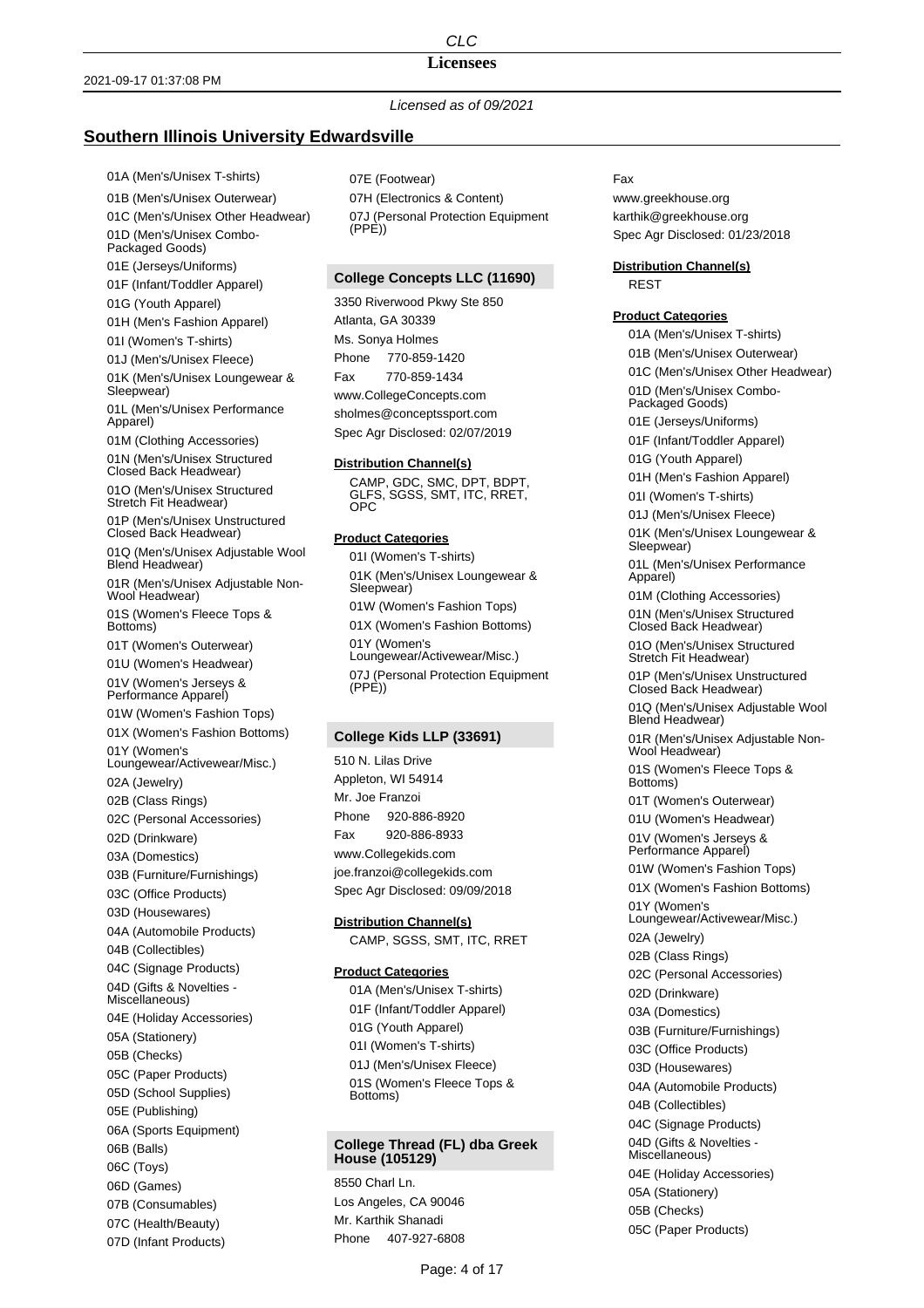**Licensees**

## *Licensed as of 09/2021*

## **Southern Illinois University Edwardsville**

01A (Men's/Unisex T-shirts)

01B (Men's/Unisex Outerwear) 01C (Men's/Unisex Other Headwear) 01D (Men's/Unisex Combo-Packaged Goods) 01E (Jerseys/Uniforms) 01F (Infant/Toddler Apparel) 01G (Youth Apparel) 01H (Men's Fashion Apparel) 01I (Women's T-shirts) 01J (Men's/Unisex Fleece) 01K (Men's/Unisex Loungewear & Sleepwear) 01L (Men's/Unisex Performance Apparel) 01M (Clothing Accessories) 01N (Men's/Unisex Structured Closed Back Headwear) 01O (Men's/Unisex Structured Stretch Fit Headwear) 01P (Men's/Unisex Unstructured Closed Back Headwear) 01Q (Men's/Unisex Adjustable Wool Blend Headwear) 01R (Men's/Unisex Adjustable Non-Wool Headwear) 01S (Women's Fleece Tops & Bottoms) 01T (Women's Outerwear) 01U (Women's Headwear) 01V (Women's Jerseys & Performance Apparel) 01W (Women's Fashion Tops) 01X (Women's Fashion Bottoms) 01Y (Women's Loungewear/Activewear/Misc.) 02A (Jewelry) 02B (Class Rings) 02C (Personal Accessories) 02D (Drinkware) 03A (Domestics) 03B (Furniture/Furnishings) 03C (Office Products) 03D (Housewares) 04A (Automobile Products) 04B (Collectibles) 04C (Signage Products) 04D (Gifts & Novelties - Miscellaneous) 04E (Holiday Accessories) 05A (Stationery) 05B (Checks) 05C (Paper Products) 05D (School Supplies) 05E (Publishing) 06A (Sports Equipment) 06B (Balls) 06C (Toys) 06D (Games) 07B (Consumables) 07C (Health/Beauty)

07D (Infant Products)

07E (Footwear) 07H (Electronics & Content) 07J (Personal Protection Equipment (PPE))

## **College Concepts LLC (11690)**

3350 Riverwood Pkwy Ste 850 Atlanta, GA 30339 Ms. Sonya Holmes Phone 770-859-1420 Fax 770-859-1434 www.CollegeConcepts.com sholmes@conceptssport.com Spec Agr Disclosed: 02/07/2019

#### **Distribution Channel(s)**

CAMP, GDC, SMC, DPT, BDPT, GLFS, SGSS, SMT, ITC, RRET, OPC

# **Product Categories**

01I (Women's T-shirts) 01K (Men's/Unisex Loungewear & Sleepwear) 01W (Women's Fashion Tops) 01X (Women's Fashion Bottoms) 01Y (Women's Loungewear/Activewear/Misc.) 07J (Personal Protection Equipment  $(PPE)$ 

#### **College Kids LLP (33691)**

510 N. Lilas Drive Appleton, WI 54914 Mr. Joe Franzoi Phone 920-886-8920 Fax 920-886-8933 www.Collegekids.com joe.franzoi@collegekids.com Spec Agr Disclosed: 09/09/2018

#### **Distribution Channel(s)**

CAMP, SGSS, SMT, ITC, RRET

## **Product Categories**

01A (Men's/Unisex T-shirts) 01F (Infant/Toddler Apparel) 01G (Youth Apparel) 01I (Women's T-shirts) 01J (Men's/Unisex Fleece) 01S (Women's Fleece Tops & Bottoms)

## **College Thread (FL) dba Greek House (105129)**

8550 Charl Ln. Los Angeles, CA 90046 Mr. Karthik Shanadi Phone 407-927-6808

## Fax

www.greekhouse.org karthik@greekhouse.org Spec Agr Disclosed: 01/23/2018

# **Distribution Channel(s)**

REST

# **Product Categories**

01A (Men's/Unisex T-shirts) 01B (Men's/Unisex Outerwear) 01C (Men's/Unisex Other Headwear) 01D (Men's/Unisex Combo-Packaged Goods) 01E (Jerseys/Uniforms) 01F (Infant/Toddler Apparel) 01G (Youth Apparel) 01H (Men's Fashion Apparel) 01I (Women's T-shirts) 01J (Men's/Unisex Fleece) 01K (Men's/Unisex Loungewear & Sleepwear) 01L (Men's/Unisex Performance Apparel) 01M (Clothing Accessories) 01N (Men's/Unisex Structured Closed Back Headwear) 01O (Men's/Unisex Structured Stretch Fit Headwear) 01P (Men's/Unisex Unstructured Closed Back Headwear) 01Q (Men's/Unisex Adjustable Wool Blend Headwear) 01R (Men's/Unisex Adjustable Non-Wool Headwear) 01S (Women's Fleece Tops & Bottoms) 01T (Women's Outerwear) 01U (Women's Headwear) 01V (Women's Jerseys & Performance Apparel) 01W (Women's Fashion Tops) 01X (Women's Fashion Bottoms) 01Y (Women's Loungewear/Activewear/Misc.) 02A (Jewelry) 02B (Class Rings) 02C (Personal Accessories) 02D (Drinkware) 03A (Domestics) 03B (Furniture/Furnishings) 03C (Office Products) 03D (Housewares) 04A (Automobile Products) 04B (Collectibles) 04C (Signage Products) 04D (Gifts & Novelties - Miscellaneous) 04E (Holiday Accessories) 05A (Stationery) 05B (Checks) 05C (Paper Products)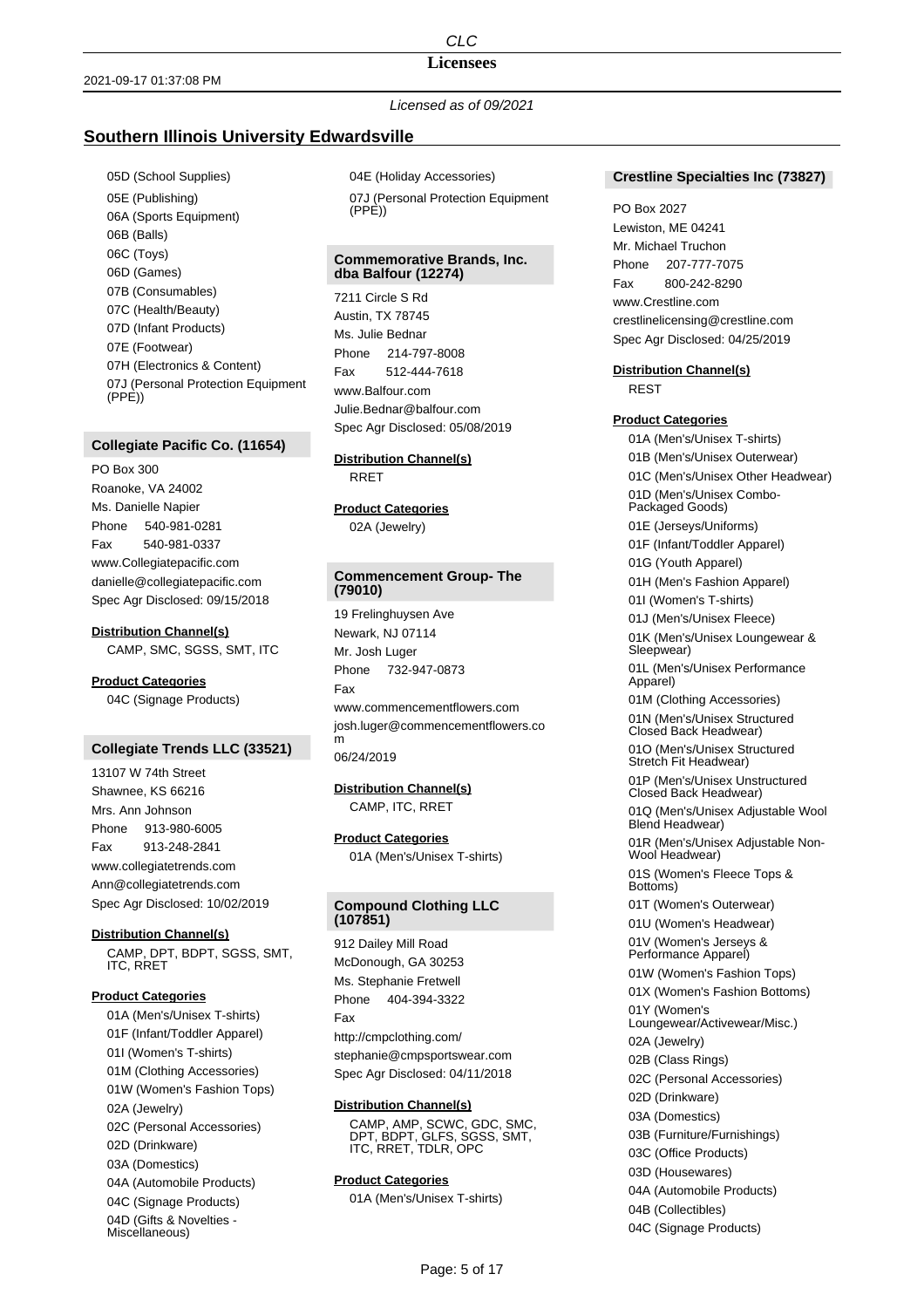# **Licensees**

*Licensed as of 09/2021*

# **Southern Illinois University Edwardsville**

05D (School Supplies) 05E (Publishing) 06A (Sports Equipment) 06B (Balls) 06C (Toys) 06D (Games) 07B (Consumables) 07C (Health/Beauty) 07D (Infant Products) 07E (Footwear) 07H (Electronics & Content) 07J (Personal Protection Equipment (PPE))

# **Collegiate Pacific Co. (11654)**

PO Box 300 Roanoke, VA 24002 Ms. Danielle Napier Phone 540-981-0281 Fax 540-981-0337 www.Collegiatepacific.com danielle@collegiatepacific.com Spec Agr Disclosed: 09/15/2018

#### **Distribution Channel(s)**

CAMP, SMC, SGSS, SMT, ITC

**Product Categories** 04C (Signage Products)

# **Collegiate Trends LLC (33521)**

13107 W 74th Street Shawnee, KS 66216 Mrs. Ann Johnson Phone 913-980-6005 Fax 913-248-2841 www.collegiatetrends.com Ann@collegiatetrends.com Spec Agr Disclosed: 10/02/2019

### **Distribution Channel(s)**

CAMP, DPT, BDPT, SGSS, SMT, ITC, RRET

#### **Product Categories**

01A (Men's/Unisex T-shirts) 01F (Infant/Toddler Apparel) 01I (Women's T-shirts) 01M (Clothing Accessories) 01W (Women's Fashion Tops) 02A (Jewelry) 02C (Personal Accessories) 02D (Drinkware) 03A (Domestics) 04A (Automobile Products) 04C (Signage Products) 04D (Gifts & Novelties Miscellaneous)

04E (Holiday Accessories) 07J (Personal Protection Equipment  $(PPF)$ 

## **Commemorative Brands, Inc. dba Balfour (12274)**

7211 Circle S Rd Austin, TX 78745 Ms. Julie Bednar Phone 214-797-8008 Fax 512-444-7618 www.Balfour.com Julie.Bednar@balfour.com Spec Agr Disclosed: 05/08/2019

# **Distribution Channel(s)**

RRET

## **Product Categories** 02A (Jewelry)

# **Commencement Group- The (79010)**

19 Frelinghuysen Ave Newark, NJ 07114 Mr. Josh Luger Phone 732-947-0873 Fax www.commencementflowers.com josh.luger@commencementflowers.co m

06/24/2019

# **Distribution Channel(s)** CAMP, ITC, RRET

**Product Categories** 01A (Men's/Unisex T-shirts)

## **Compound Clothing LLC (107851)**

912 Dailey Mill Road McDonough, GA 30253 Ms. Stephanie Fretwell Phone 404-394-3322 Fax http://cmpclothing.com/ stephanie@cmpsportswear.com Spec Agr Disclosed: 04/11/2018

## **Distribution Channel(s)**

CAMP, AMP, SCWC, GDC, SMC, DPT, BDPT, GLFS, SGSS, SMT, ITC, RRET, TDLR, OPC

# **Product Categories**

01A (Men's/Unisex T-shirts)

## **Crestline Specialties Inc (73827)**

#### PO Box 2027

Lewiston, ME 04241 Mr. Michael Truchon Phone 207-777-7075 Fax 800-242-8290 www.Crestline.com crestlinelicensing@crestline.com Spec Agr Disclosed: 04/25/2019

#### **Distribution Channel(s)**

REST

# **Product Categories**

01A (Men's/Unisex T-shirts) 01B (Men's/Unisex Outerwear) 01C (Men's/Unisex Other Headwear) 01D (Men's/Unisex Combo-Packaged Goods) 01E (Jerseys/Uniforms) 01F (Infant/Toddler Apparel) 01G (Youth Apparel) 01H (Men's Fashion Apparel) 01I (Women's T-shirts) 01J (Men's/Unisex Fleece) 01K (Men's/Unisex Loungewear & Sleepwear) 01L (Men's/Unisex Performance Apparel) 01M (Clothing Accessories) 01N (Men's/Unisex Structured Closed Back Headwear) 01O (Men's/Unisex Structured Stretch Fit Headwear) 01P (Men's/Unisex Unstructured Closed Back Headwear) 01Q (Men's/Unisex Adjustable Wool Blend Headwear) 01R (Men's/Unisex Adjustable Non-Wool Headwear) 01S (Women's Fleece Tops & Bottoms) 01T (Women's Outerwear) 01U (Women's Headwear) 01V (Women's Jerseys & Performance Apparel) 01W (Women's Fashion Tops) 01X (Women's Fashion Bottoms) 01Y (Women's Loungewear/Activewear/Misc.) 02A (Jewelry) 02B (Class Rings) 02C (Personal Accessories) 02D (Drinkware) 03A (Domestics) 03B (Furniture/Furnishings) 03C (Office Products) 03D (Housewares) 04A (Automobile Products) 04B (Collectibles) 04C (Signage Products)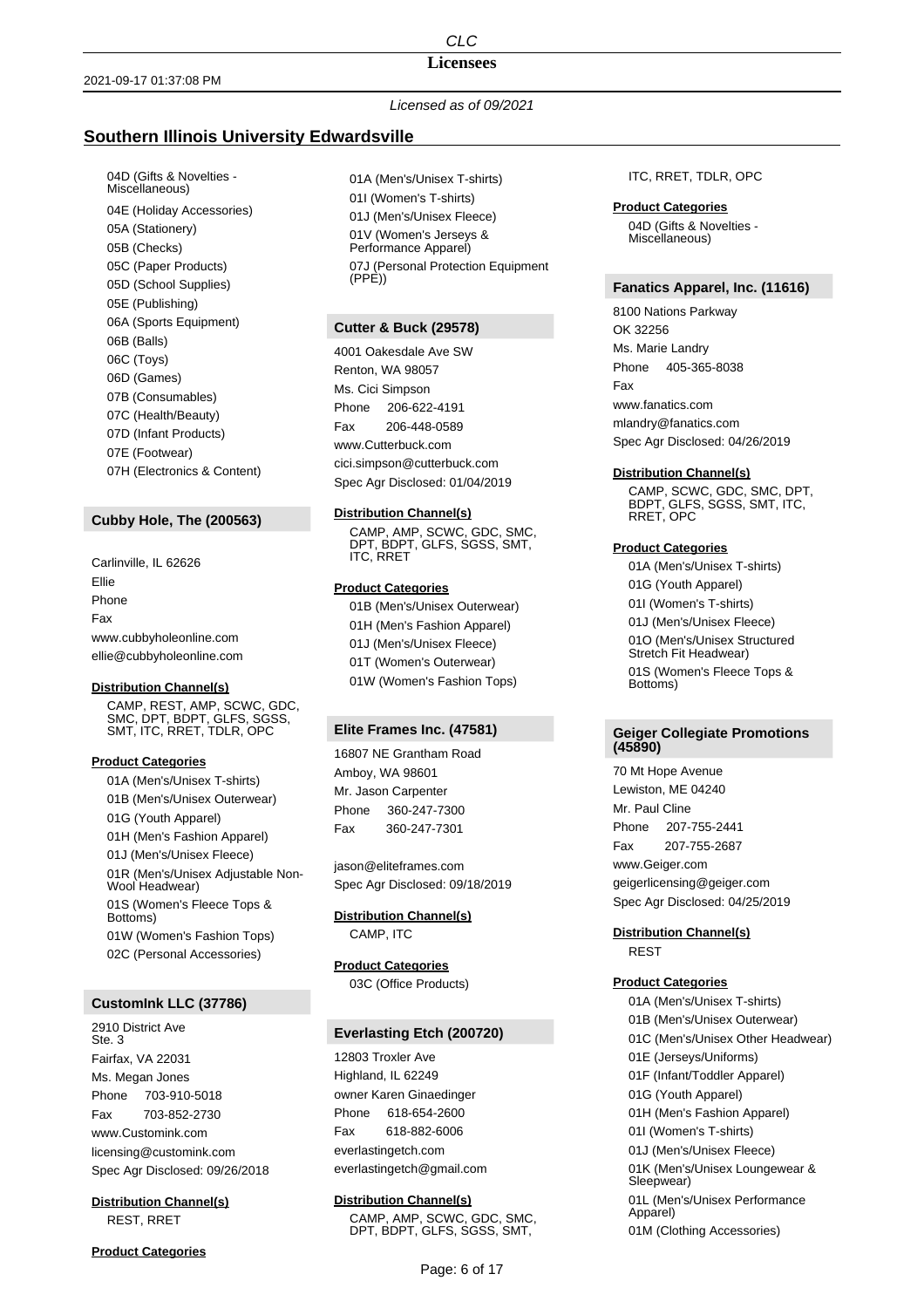#### **Licensees**

# *Licensed as of 09/2021*

# **Southern Illinois University Edwardsville**

04D (Gifts & Novelties - Miscellaneous) 04E (Holiday Accessories) 05A (Stationery) 05B (Checks) 05C (Paper Products) 05D (School Supplies) 05E (Publishing) 06A (Sports Equipment) 06B (Balls) 06C (Toys) 06D (Games) 07B (Consumables) 07C (Health/Beauty) 07D (Infant Products) 07E (Footwear) 07H (Electronics & Content)

## **Cubby Hole, The (200563)**

Carlinville, IL 62626 Ellie Phone Fax www.cubbyholeonline.com ellie@cubbyholeonline.com

#### **Distribution Channel(s)**

CAMP, REST, AMP, SCWC, GDC, SMC, DPT, BDPT, GLFS, SGSS, SMT, ITC, RRET, TDLR, OPC

#### **Product Categories**

01A (Men's/Unisex T-shirts) 01B (Men's/Unisex Outerwear) 01G (Youth Apparel) 01H (Men's Fashion Apparel) 01J (Men's/Unisex Fleece) 01R (Men's/Unisex Adjustable Non-Wool Headwear) 01S (Women's Fleece Tops & Bottoms) 01W (Women's Fashion Tops) 02C (Personal Accessories)

# **CustomInk LLC (37786)**

2910 District Ave Ste. 3 Fairfax, VA 22031 Ms. Megan Jones Phone 703-910-5018 Fax 703-852-2730 www.Customink.com licensing@customink.com Spec Agr Disclosed: 09/26/2018

**Distribution Channel(s)** REST, RRET

01A (Men's/Unisex T-shirts) 01I (Women's T-shirts) 01J (Men's/Unisex Fleece) 01V (Women's Jerseys & Performance Apparel) 07J (Personal Protection Equipment  $(PPE)$ 

## **Cutter & Buck (29578)**

4001 Oakesdale Ave SW Renton, WA 98057 Ms. Cici Simpson Phone 206-622-4191 Fax 206-448-0589 www.Cutterbuck.com cici.simpson@cutterbuck.com Spec Agr Disclosed: 01/04/2019

#### **Distribution Channel(s)**

CAMP, AMP, SCWC, GDC, SMC, DPT, BDPT, GLFS, SGSS, SMT, ITC, RRET

## **Product Categories**

01B (Men's/Unisex Outerwear) 01H (Men's Fashion Apparel) 01J (Men's/Unisex Fleece) 01T (Women's Outerwear) 01W (Women's Fashion Tops)

#### **Elite Frames Inc. (47581)**

16807 NE Grantham Road Amboy, WA 98601 Mr. Jason Carpenter Phone 360-247-7300 Fax 360-247-7301

jason@eliteframes.com Spec Agr Disclosed: 09/18/2019

#### **Distribution Channel(s)**

CAMP, ITC

## **Product Categories** 03C (Office Products)

# **Everlasting Etch (200720)**

12803 Troxler Ave Highland, IL 62249 owner Karen Ginaedinger Phone 618-654-2600 Fax 618-882-6006 everlastingetch.com everlastingetch@gmail.com

# **Distribution Channel(s)**

CAMP, AMP, SCWC, GDC, SMC, DPT, BDPT, GLFS, SGSS, SMT,

ITC, RRET, TDLR, OPC

#### **Product Categories**

04D (Gifts & Novelties - Miscellaneous)

#### **Fanatics Apparel, Inc. (11616)**

8100 Nations Parkway OK 32256 Ms. Marie Landry Phone 405-365-8038 Fax www.fanatics.com mlandry@fanatics.com Spec Agr Disclosed: 04/26/2019

#### **Distribution Channel(s)**

CAMP, SCWC, GDC, SMC, DPT, BDPT, GLFS, SGSS, SMT, ITC, RRET, OPC

#### **Product Categories**

01A (Men's/Unisex T-shirts) 01G (Youth Apparel) 01I (Women's T-shirts) 01J (Men's/Unisex Fleece) 01O (Men's/Unisex Structured Stretch Fit Headwear) 01S (Women's Fleece Tops & Bottoms)

## **Geiger Collegiate Promotions (45890)**

70 Mt Hope Avenue Lewiston, ME 04240 Mr. Paul Cline Phone 207-755-2441 Fax 207-755-2687 www.Geiger.com geigerlicensing@geiger.com Spec Agr Disclosed: 04/25/2019

### **Distribution Channel(s)** REST

#### **Product Categories**

01A (Men's/Unisex T-shirts) 01B (Men's/Unisex Outerwear) 01C (Men's/Unisex Other Headwear) 01E (Jerseys/Uniforms) 01F (Infant/Toddler Apparel) 01G (Youth Apparel) 01H (Men's Fashion Apparel) 01I (Women's T-shirts) 01J (Men's/Unisex Fleece) 01K (Men's/Unisex Loungewear & Sleepwear) 01L (Men's/Unisex Performance Apparel) 01M (Clothing Accessories)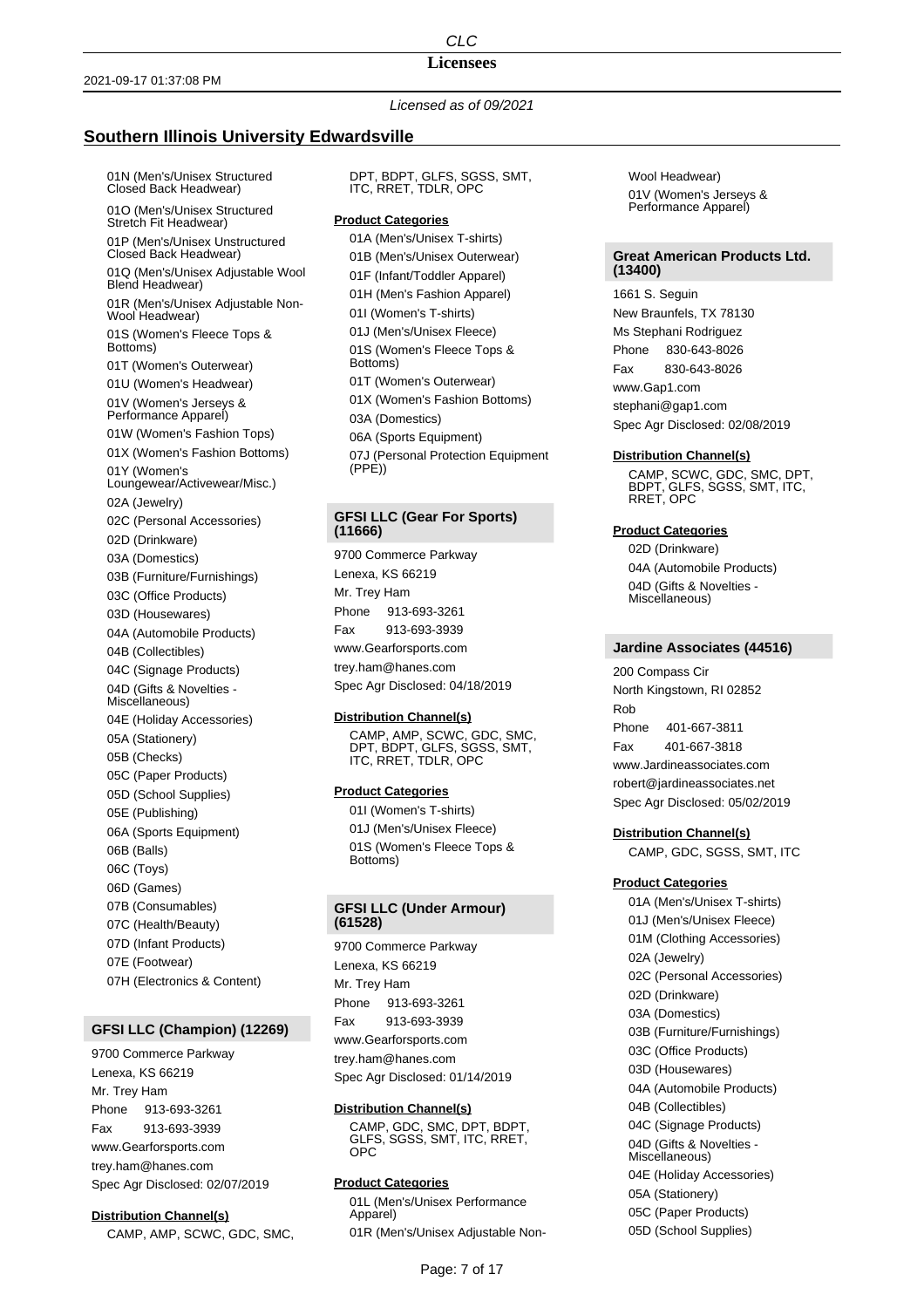### **Licensees**

*Licensed as of 09/2021*

# **Southern Illinois University Edwardsville**

01N (Men's/Unisex Structured Closed Back Headwear) 01O (Men's/Unisex Structured Stretch Fit Headwear) 01P (Men's/Unisex Unstructured Closed Back Headwear) 01Q (Men's/Unisex Adjustable Wool Blend Headwear) 01R (Men's/Unisex Adjustable Non-Wool Headwear) 01S (Women's Fleece Tops & Bottoms) 01T (Women's Outerwear) 01U (Women's Headwear) 01V (Women's Jerseys & Performance Apparel) 01W (Women's Fashion Tops) 01X (Women's Fashion Bottoms) 01Y (Women's Loungewear/Activewear/Misc.) 02A (Jewelry) 02C (Personal Accessories) 02D (Drinkware) 03A (Domestics) 03B (Furniture/Furnishings) 03C (Office Products) 03D (Housewares) 04A (Automobile Products) 04B (Collectibles) 04C (Signage Products) 04D (Gifts & Novelties - Miscellaneous) 04E (Holiday Accessories) 05A (Stationery) 05B (Checks) 05C (Paper Products) 05D (School Supplies) 05E (Publishing) 06A (Sports Equipment) 06B (Balls) 06C (Toys) 06D (Games) 07B (Consumables) 07C (Health/Beauty) 07D (Infant Products) 07E (Footwear) 07H (Electronics & Content)

# **GFSI LLC (Champion) (12269)**

9700 Commerce Parkway Lenexa, KS 66219 Mr. Trey Ham Phone 913-693-3261 Fax 913-693-3939 www.Gearforsports.com trey.ham@hanes.com Spec Agr Disclosed: 02/07/2019

### **Distribution Channel(s)**

CAMP, AMP, SCWC, GDC, SMC,

DPT, BDPT, GLFS, SGSS, SMT, ITC, RRET, TDLR, OPC

#### **Product Categories**

01A (Men's/Unisex T-shirts) 01B (Men's/Unisex Outerwear) 01F (Infant/Toddler Apparel) 01H (Men's Fashion Apparel) 01I (Women's T-shirts) 01J (Men's/Unisex Fleece) 01S (Women's Fleece Tops & Bottoms) 01T (Women's Outerwear) 01X (Women's Fashion Bottoms) 03A (Domestics) 06A (Sports Equipment) 07J (Personal Protection Equipment (PPE))

## **GFSI LLC (Gear For Sports) (11666)**

9700 Commerce Parkway Lenexa, KS 66219 Mr. Trey Ham Phone 913-693-3261 Fax 913-693-3939 www.Gearforsports.com trey.ham@hanes.com Spec Agr Disclosed: 04/18/2019

#### **Distribution Channel(s)**

CAMP, AMP, SCWC, GDC, SMC, DPT, BDPT, GLFS, SGSS, SMT, ITC, RRET, TDLR, OPC

#### **Product Categories**

01I (Women's T-shirts) 01J (Men's/Unisex Fleece) 01S (Women's Fleece Tops & Bottoms)

# **GFSI LLC (Under Armour) (61528)**

9700 Commerce Parkway Lenexa, KS 66219 Mr. Trey Ham Phone 913-693-3261 Fax 913-693-3939 www.Gearforsports.com trey.ham@hanes.com Spec Agr Disclosed: 01/14/2019

#### **Distribution Channel(s)**

CAMP, GDC, SMC, DPT, BDPT, GLFS, SGSS, SMT, ITC, RRET, OPC

## **Product Categories**

01L (Men's/Unisex Performance Apparel) 01R (Men's/Unisex Adjustable NonWool Headwear) 01V (Women's Jerseys & Performance Apparel)

#### **Great American Products Ltd. (13400)**

1661 S. Seguin New Braunfels, TX 78130 Ms Stephani Rodriguez Phone 830-643-8026 Fax 830-643-8026 www.Gap1.com stephani@gap1.com Spec Agr Disclosed: 02/08/2019

#### **Distribution Channel(s)**

CAMP, SCWC, GDC, SMC, DPT, BDPT, GLFS, SGSS, SMT, ITC, RRET, OPC

#### **Product Categories**

02D (Drinkware) 04A (Automobile Products) 04D (Gifts & Novelties - Miscellaneous)

#### **Jardine Associates (44516)**

200 Compass Cir North Kingstown, RI 02852 Rob Phone 401-667-3811 Fax 401-667-3818 www.Jardineassociates.com robert@jardineassociates.net Spec Agr Disclosed: 05/02/2019

#### **Distribution Channel(s)**

CAMP, GDC, SGSS, SMT, ITC

#### **Product Categories**

01A (Men's/Unisex T-shirts) 01J (Men's/Unisex Fleece) 01M (Clothing Accessories) 02A (Jewelry) 02C (Personal Accessories) 02D (Drinkware) 03A (Domestics) 03B (Furniture/Furnishings) 03C (Office Products) 03D (Housewares) 04A (Automobile Products) 04B (Collectibles) 04C (Signage Products) 04D (Gifts & Novelties - Miscellaneous) 04E (Holiday Accessories) 05A (Stationery) 05C (Paper Products) 05D (School Supplies)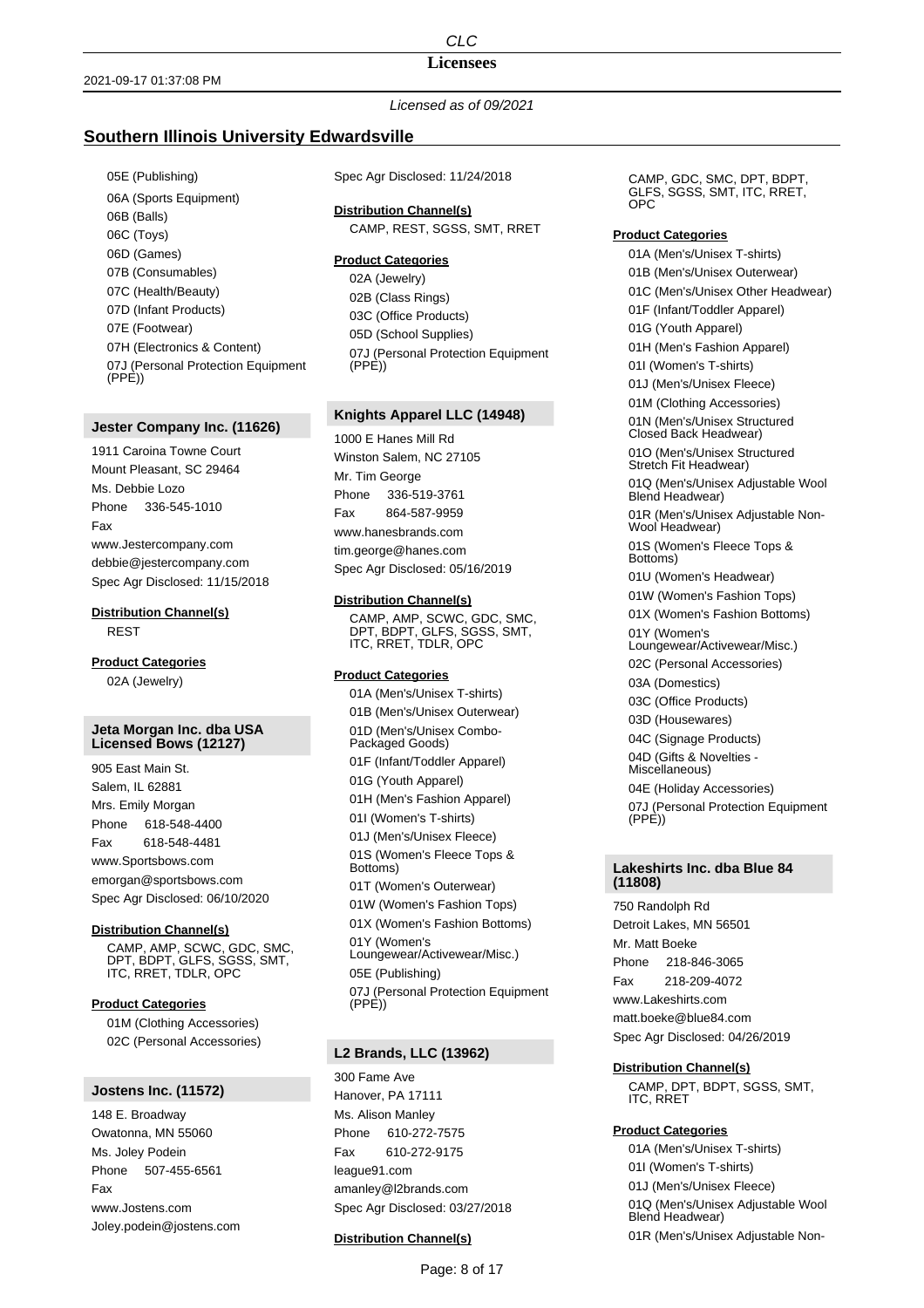# **Licensees**

# *Licensed as of 09/2021*

# **Southern Illinois University Edwardsville**

05E (Publishing) 06A (Sports Equipment) 06B (Balls) 06C (Toys) 06D (Games) 07B (Consumables) 07C (Health/Beauty) 07D (Infant Products) 07E (Footwear) 07H (Electronics & Content) 07J (Personal Protection Equipment (PPE))

#### **Jester Company Inc. (11626)**

1911 Caroina Towne Court Mount Pleasant, SC 29464 Ms. Debbie Lozo Phone 336-545-1010 Fax www.Jestercompany.com debbie@jestercompany.com Spec Agr Disclosed: 11/15/2018

**Distribution Channel(s)**

REST

**Product Categories** 02A (Jewelry)

### **Jeta Morgan Inc. dba USA Licensed Bows (12127)**

905 East Main St. Salem, IL 62881 Mrs. Emily Morgan Phone 618-548-4400 Fax 618-548-4481 www.Sportsbows.com emorgan@sportsbows.com Spec Agr Disclosed: 06/10/2020

## **Distribution Channel(s)**

CAMP, AMP, SCWC, GDC, SMC, DPT, BDPT, GLFS, SGSS, SMT, ITC, RRET, TDLR, OPC

#### **Product Categories**

01M (Clothing Accessories) 02C (Personal Accessories)

#### **Jostens Inc. (11572)**

148 E. Broadway Owatonna, MN 55060 Ms. Joley Podein Phone 507-455-6561 Fax www.Jostens.com Joley.podein@jostens.com Spec Agr Disclosed: 11/24/2018

**Distribution Channel(s)**

CAMP, REST, SGSS, SMT, RRET

## **Product Categories**

02A (Jewelry) 02B (Class Rings) 03C (Office Products) 05D (School Supplies) 07J (Personal Protection Equipment  $(PP<sub>E</sub>)$ 

# **Knights Apparel LLC (14948)**

1000 E Hanes Mill Rd Winston Salem, NC 27105 Mr. Tim George Phone 336-519-3761 Fax 864-587-9959 www.hanesbrands.com tim.george@hanes.com Spec Agr Disclosed: 05/16/2019

#### **Distribution Channel(s)**

CAMP, AMP, SCWC, GDC, SMC, DPT, BDPT, GLFS, SGSS, SMT, ITC, RRET, TDLR, OPC

## **Product Categories**

01A (Men's/Unisex T-shirts) 01B (Men's/Unisex Outerwear) 01D (Men's/Unisex Combo-Packaged Goods) 01F (Infant/Toddler Apparel) 01G (Youth Apparel) 01H (Men's Fashion Apparel) 01I (Women's T-shirts) 01J (Men's/Unisex Fleece) 01S (Women's Fleece Tops & Bottoms) 01T (Women's Outerwear) 01W (Women's Fashion Tops) 01X (Women's Fashion Bottoms) 01Y (Women's Loungewear/Activewear/Misc.) 05E (Publishing) 07J (Personal Protection Equipment (PPE))

## **L2 Brands, LLC (13962)**

300 Fame Ave Hanover, PA 17111 Ms. Alison Manley Phone 610-272-7575 Fax 610-272-9175 league91.com amanley@l2brands.com Spec Agr Disclosed: 03/27/2018

## **Distribution Channel(s)**

CAMP, GDC, SMC, DPT, BDPT, GLFS, SGSS, SMT, ITC, RRET, OPC

#### **Product Categories**

01A (Men's/Unisex T-shirts) 01B (Men's/Unisex Outerwear) 01C (Men's/Unisex Other Headwear) 01F (Infant/Toddler Apparel) 01G (Youth Apparel) 01H (Men's Fashion Apparel) 01I (Women's T-shirts) 01J (Men's/Unisex Fleece) 01M (Clothing Accessories) 01N (Men's/Unisex Structured Closed Back Headwear) 01O (Men's/Unisex Structured Stretch Fit Headwear) 01Q (Men's/Unisex Adjustable Wool Blend Headwear) 01R (Men's/Unisex Adjustable Non-Wool Headwear) 01S (Women's Fleece Tops & Bottoms) 01U (Women's Headwear) 01W (Women's Fashion Tops) 01X (Women's Fashion Bottoms) 01Y (Women's Loungewear/Activewear/Misc.) 02C (Personal Accessories) 03A (Domestics) 03C (Office Products) 03D (Housewares) 04C (Signage Products) 04D (Gifts & Novelties - Miscellaneous) 04E (Holiday Accessories) 07J (Personal Protection Equipment (PPE))

## **Lakeshirts Inc. dba Blue 84 (11808)**

750 Randolph Rd Detroit Lakes, MN 56501 Mr. Matt Boeke Phone 218-846-3065 Fax 218-209-4072 www.Lakeshirts.com matt.boeke@blue84.com Spec Agr Disclosed: 04/26/2019

# **Distribution Channel(s)**

CAMP, DPT, BDPT, SGSS, SMT, ITC, RRET

# **Product Categories**

01A (Men's/Unisex T-shirts) 01I (Women's T-shirts) 01J (Men's/Unisex Fleece) 01Q (Men's/Unisex Adjustable Wool Blend Headwear) 01R (Men's/Unisex Adjustable Non-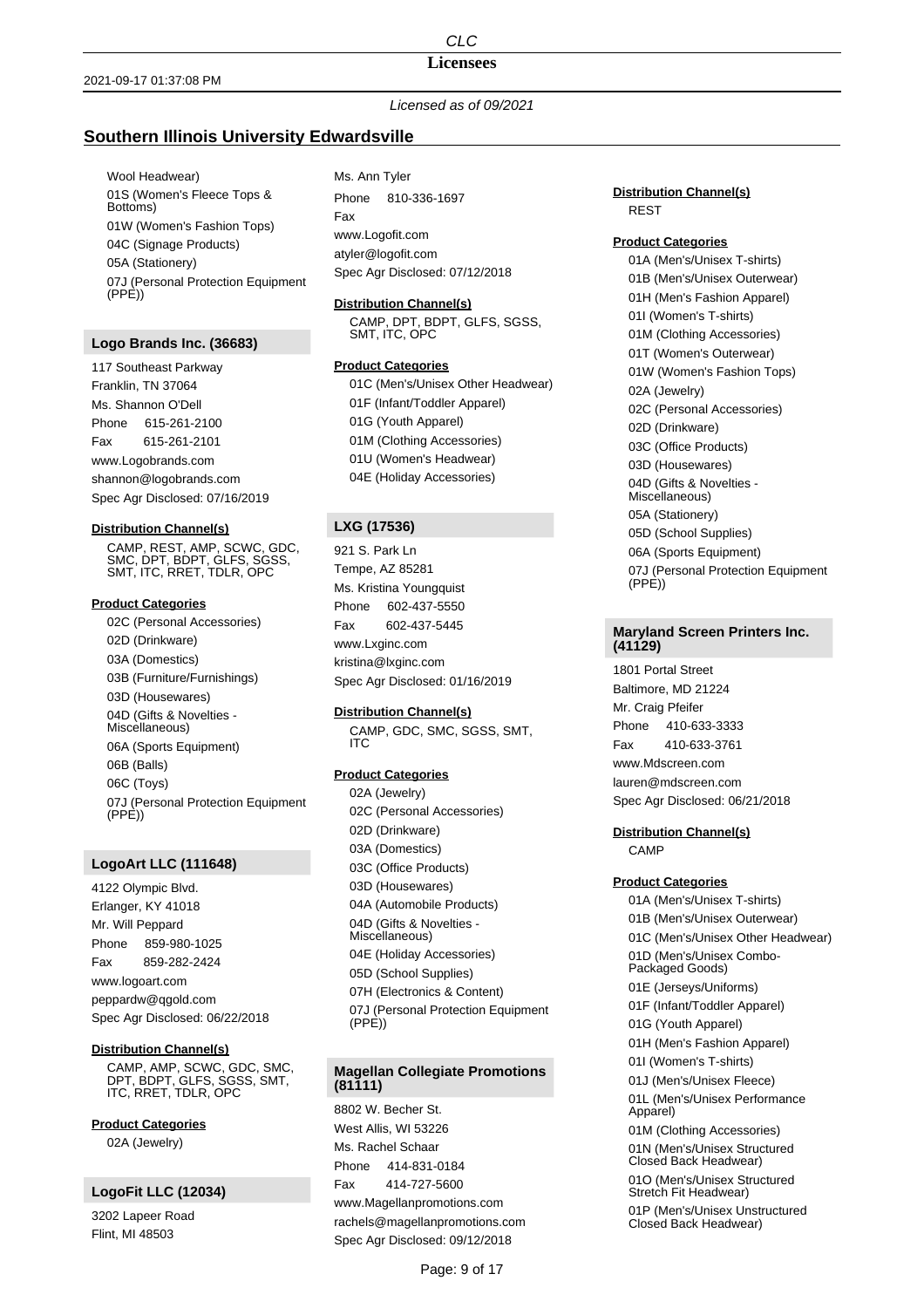# *CLC* **Licensees**

## 2021-09-17 01:37:08 PM

# *Licensed as of 09/2021*

# **Southern Illinois University Edwardsville**

Wool Headwear) 01S (Women's Fleece Tops & Bottoms) 01W (Women's Fashion Tops) 04C (Signage Products) 05A (Stationery) 07J (Personal Protection Equipment (PPE))

## **Logo Brands Inc. (36683)**

117 Southeast Parkway Franklin, TN 37064 Ms. Shannon O'Dell Phone 615-261-2100 Fax 615-261-2101 www.Logobrands.com shannon@logobrands.com Spec Agr Disclosed: 07/16/2019

#### **Distribution Channel(s)**

CAMP, REST, AMP, SCWC, GDC, SMC, DPT, BDPT, GLFS, SGSS, SMT, ITC, RRET, TDLR, OPC

#### **Product Categories**

02C (Personal Accessories) 02D (Drinkware) 03A (Domestics) 03B (Furniture/Furnishings) 03D (Housewares) 04D (Gifts & Novelties - Miscellaneous) 06A (Sports Equipment) 06B (Balls) 06C (Toys) 07J (Personal Protection Equipment  $(PPE)$ 

## **LogoArt LLC (111648)**

4122 Olympic Blvd. Erlanger, KY 41018 Mr. Will Peppard Phone 859-980-1025 Fax 859-282-2424 www.logoart.com peppardw@qgold.com Spec Agr Disclosed: 06/22/2018

## **Distribution Channel(s)**

CAMP, AMP, SCWC, GDC, SMC, DPT, BDPT, GLFS, SGSS, SMT, ITC, RRET, TDLR, OPC

**Product Categories** 02A (Jewelry)

# **LogoFit LLC (12034)**

3202 Lapeer Road Flint, MI 48503

Ms. Ann Tyler Phone 810-336-1697 Fax www.Logofit.com atyler@logofit.com Spec Agr Disclosed: 07/12/2018

### **Distribution Channel(s)**

CAMP, DPT, BDPT, GLFS, SGSS, SMT, ITC, OPC

# **Product Categories**

01C (Men's/Unisex Other Headwear) 01F (Infant/Toddler Apparel) 01G (Youth Apparel) 01M (Clothing Accessories) 01U (Women's Headwear) 04E (Holiday Accessories)

# **LXG (17536)**

921 S. Park Ln Tempe, AZ 85281 Ms. Kristina Youngquist Phone 602-437-5550 Fax 602-437-5445 www.Lxginc.com kristina@lxginc.com Spec Agr Disclosed: 01/16/2019

#### **Distribution Channel(s)**

CAMP, GDC, SMC, SGSS, SMT, ITC

## **Product Categories**

02A (Jewelry) 02C (Personal Accessories) 02D (Drinkware) 03A (Domestics) 03C (Office Products) 03D (Housewares) 04A (Automobile Products) 04D (Gifts & Novelties - Miscellaneous) 04E (Holiday Accessories) 05D (School Supplies) 07H (Electronics & Content) 07J (Personal Protection Equipment (PPE))

## **Magellan Collegiate Promotions (81111)**

8802 W. Becher St. West Allis, WI 53226 Ms. Rachel Schaar Phone 414-831-0184 Fax 414-727-5600 www.Magellanpromotions.com rachels@magellanpromotions.com Spec Agr Disclosed: 09/12/2018

## **Distribution Channel(s)** REST

#### **Product Categories**

01A (Men's/Unisex T-shirts) 01B (Men's/Unisex Outerwear) 01H (Men's Fashion Apparel) 01I (Women's T-shirts) 01M (Clothing Accessories) 01T (Women's Outerwear) 01W (Women's Fashion Tops) 02A (Jewelry) 02C (Personal Accessories) 02D (Drinkware) 03C (Office Products) 03D (Housewares) 04D (Gifts & Novelties - Miscellaneous) 05A (Stationery) 05D (School Supplies) 06A (Sports Equipment) 07J (Personal Protection Equipment (PPE))

### **Maryland Screen Printers Inc. (41129)**

1801 Portal Street Baltimore, MD 21224 Mr. Craig Pfeifer Phone 410-633-3333 Fax 410-633-3761 www.Mdscreen.com lauren@mdscreen.com Spec Agr Disclosed: 06/21/2018

# **Distribution Channel(s)**

CAMP

## **Product Categories**

01A (Men's/Unisex T-shirts) 01B (Men's/Unisex Outerwear) 01C (Men's/Unisex Other Headwear) 01D (Men's/Unisex Combo-Packaged Goods) 01E (Jerseys/Uniforms) 01F (Infant/Toddler Apparel) 01G (Youth Apparel) 01H (Men's Fashion Apparel) 01I (Women's T-shirts) 01J (Men's/Unisex Fleece) 01L (Men's/Unisex Performance Apparel) 01M (Clothing Accessories) 01N (Men's/Unisex Structured Closed Back Headwear) 01O (Men's/Unisex Structured Stretch Fit Headwear) 01P (Men's/Unisex Unstructured Closed Back Headwear)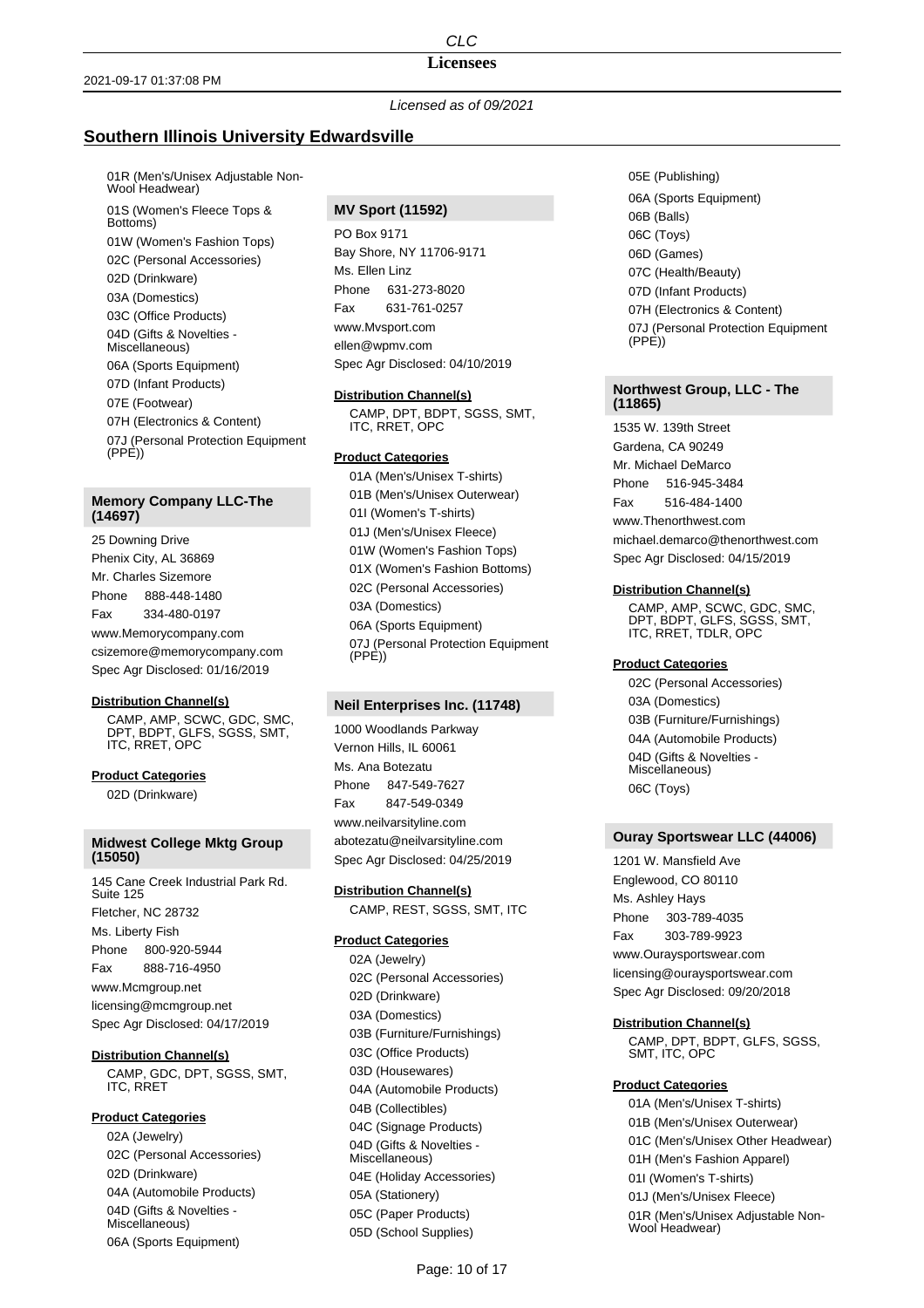# **Licensees**

*Licensed as of 09/2021*

# **Southern Illinois University Edwardsville**

01R (Men's/Unisex Adjustable Non-Wool Headwear) 01S (Women's Fleece Tops & Bottoms) 01W (Women's Fashion Tops) 02C (Personal Accessories) 02D (Drinkware) 03A (Domestics) 03C (Office Products) 04D (Gifts & Novelties - Miscellaneous) 06A (Sports Equipment) 07D (Infant Products) 07E (Footwear) 07H (Electronics & Content) 07J (Personal Protection Equipment (PPE))

## **Memory Company LLC-The (14697)**

25 Downing Drive Phenix City, AL 36869 Mr. Charles Sizemore Phone 888-448-1480 Fax 334-480-0197 www.Memorycompany.com csizemore@memorycompany.com Spec Agr Disclosed: 01/16/2019

## **Distribution Channel(s)**

CAMP, AMP, SCWC, GDC, SMC, DPT, BDPT, GLFS, SGSS, SMT, ITC, RRET, OPC

**Product Categories** 02D (Drinkware)

# **Midwest College Mktg Group (15050)**

145 Cane Creek Industrial Park Rd. Suite 125 Fletcher, NC 28732 Ms. Liberty Fish Phone 800-920-5944 Fax 888-716-4950 www.Mcmgroup.net licensing@mcmgroup.net Spec Agr Disclosed: 04/17/2019

**Distribution Channel(s)**

CAMP, GDC, DPT, SGSS, SMT, ITC, RRET

## **Product Categories**

02A (Jewelry) 02C (Personal Accessories) 02D (Drinkware) 04A (Automobile Products) 04D (Gifts & Novelties - Miscellaneous) 06A (Sports Equipment)

# **MV Sport (11592)**

PO Box 9171 Bay Shore, NY 11706-9171 Ms. Fllen Linz Phone 631-273-8020 Fax 631-761-0257 www.Mvsport.com ellen@wpmv.com Spec Agr Disclosed: 04/10/2019

### **Distribution Channel(s)**

CAMP, DPT, BDPT, SGSS, SMT, ITC, RRET, OPC

## **Product Categories**

01A (Men's/Unisex T-shirts) 01B (Men's/Unisex Outerwear) 01I (Women's T-shirts) 01J (Men's/Unisex Fleece) 01W (Women's Fashion Tops) 01X (Women's Fashion Bottoms) 02C (Personal Accessories) 03A (Domestics) 06A (Sports Equipment) 07J (Personal Protection Equipment (PPE))

# **Neil Enterprises Inc. (11748)**

1000 Woodlands Parkway Vernon Hills, IL 60061 Ms. Ana Botezatu Phone 847-549-7627 Fax 847-549-0349 www.neilvarsityline.com abotezatu@neilvarsityline.com Spec Agr Disclosed: 04/25/2019

## **Distribution Channel(s)**

CAMP, REST, SGSS, SMT, ITC

## **Product Categories**

02A (Jewelry) 02C (Personal Accessories) 02D (Drinkware) 03A (Domestics) 03B (Furniture/Furnishings) 03C (Office Products) 03D (Housewares) 04A (Automobile Products) 04B (Collectibles) 04C (Signage Products) 04D (Gifts & Novelties - Miscellaneous) 04E (Holiday Accessories) 05A (Stationery) 05C (Paper Products) 05D (School Supplies)

05E (Publishing) 06A (Sports Equipment) 06B (Balls) 06C (Toys) 06D (Games) 07C (Health/Beauty) 07D (Infant Products) 07H (Electronics & Content) 07J (Personal Protection Equipment (PPE))

### **Northwest Group, LLC - The (11865)**

1535 W. 139th Street Gardena, CA 90249 Mr. Michael DeMarco Phone 516-945-3484 Fax 516-484-1400 www.Thenorthwest.com michael.demarco@thenorthwest.com Spec Agr Disclosed: 04/15/2019

#### **Distribution Channel(s)**

CAMP, AMP, SCWC, GDC, SMC, DPT, BDPT, GLFS, SGSS, SMT, ITC, RRET, TDLR, OPC

## **Product Categories**

02C (Personal Accessories) 03A (Domestics) 03B (Furniture/Furnishings) 04A (Automobile Products) 04D (Gifts & Novelties - Miscellaneous) 06C (Toys)

## **Ouray Sportswear LLC (44006)**

1201 W. Mansfield Ave Englewood, CO 80110 Ms. Ashley Hays Phone 303-789-4035 Fax 303-789-9923 www.Ouraysportswear.com licensing@ouraysportswear.com Spec Agr Disclosed: 09/20/2018

## **Distribution Channel(s)**

CAMP, DPT, BDPT, GLFS, SGSS, SMT, ITC, OPC

## **Product Categories**

01A (Men's/Unisex T-shirts) 01B (Men's/Unisex Outerwear) 01C (Men's/Unisex Other Headwear) 01H (Men's Fashion Apparel) 01I (Women's T-shirts) 01J (Men's/Unisex Fleece) 01R (Men's/Unisex Adjustable Non-Wool Headwear)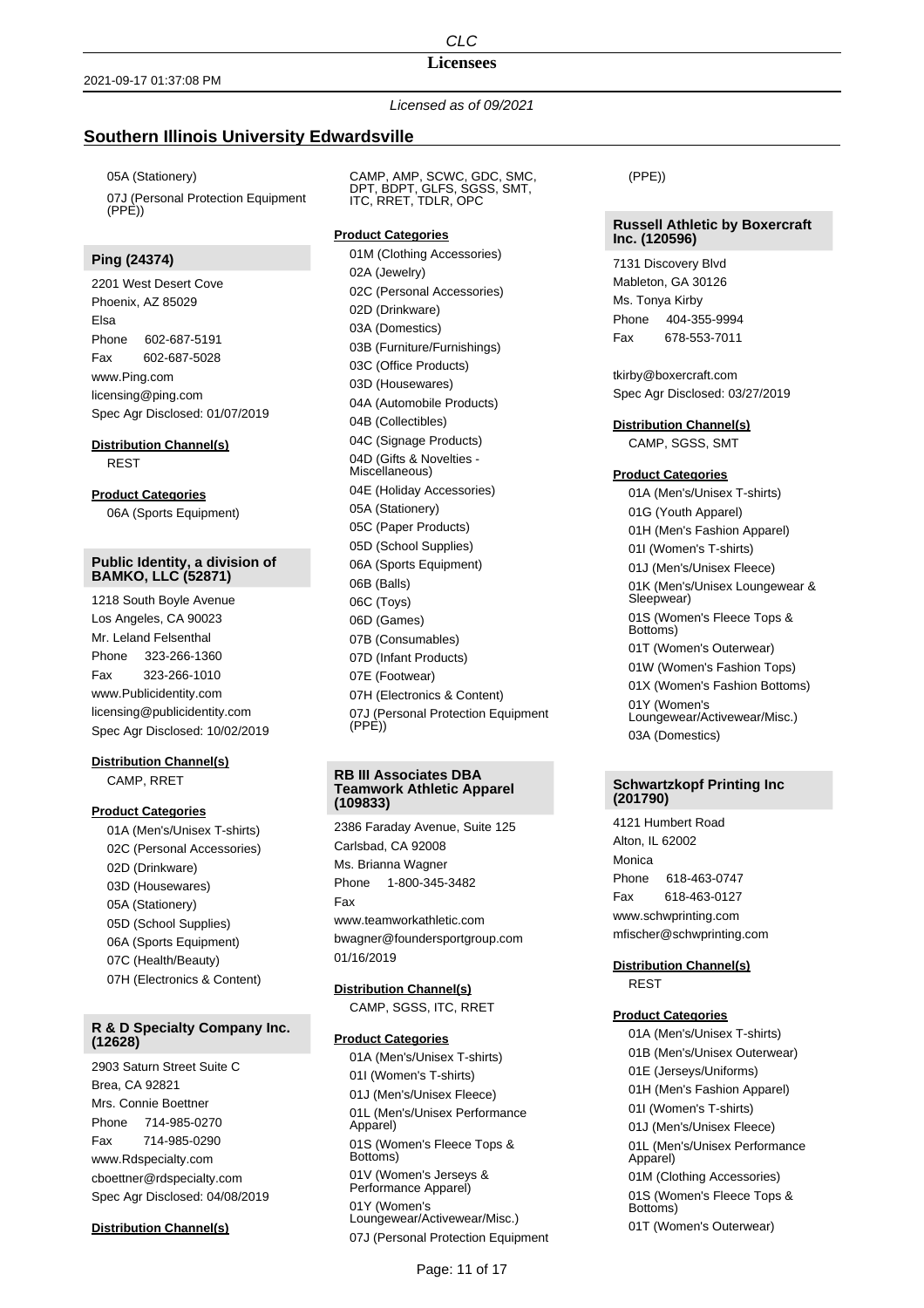#### **Licensees**

*Licensed as of 09/2021*

# **Southern Illinois University Edwardsville**

05A (Stationery) 07J (Personal Protection Equipment  $(PPF)$ 

## **Ping (24374)**

2201 West Desert Cove Phoenix, AZ 85029 Elsa Phone 602-687-5191 Fax 602-687-5028 www.Ping.com licensing@ping.com Spec Agr Disclosed: 01/07/2019

## **Distribution Channel(s)**

REST

## **Product Categories**

06A (Sports Equipment)

### **Public Identity, a division of BAMKO, LLC (52871)**

1218 South Boyle Avenue Los Angeles, CA 90023 Mr. Leland Felsenthal Phone 323-266-1360 Fax 323-266-1010 www.Publicidentity.com licensing@publicidentity.com Spec Agr Disclosed: 10/02/2019

# **Distribution Channel(s)** CAMP, RRET

## **Product Categories**

01A (Men's/Unisex T-shirts) 02C (Personal Accessories) 02D (Drinkware) 03D (Housewares) 05A (Stationery) 05D (School Supplies) 06A (Sports Equipment) 07C (Health/Beauty) 07H (Electronics & Content)

## **R & D Specialty Company Inc. (12628)**

2903 Saturn Street Suite C Brea, CA 92821 Mrs. Connie Boettner Phone 714-985-0270 Fax 714-985-0290 www.Rdspecialty.com cboettner@rdspecialty.com Spec Agr Disclosed: 04/08/2019

#### **Distribution Channel(s)**

CAMP, AMP, SCWC, GDC, SMC, DPT, BDPT, GLFS, SGSS, SMT, ITC, RRET, TDLR, OPC

#### **Product Categories**

01M (Clothing Accessories) 02A (Jewelry) 02C (Personal Accessories) 02D (Drinkware) 03A (Domestics) 03B (Furniture/Furnishings) 03C (Office Products) 03D (Housewares) 04A (Automobile Products) 04B (Collectibles) 04C (Signage Products) 04D (Gifts & Novelties - Miscellaneous) 04E (Holiday Accessories) 05A (Stationery) 05C (Paper Products) 05D (School Supplies) 06A (Sports Equipment) 06B (Balls) 06C (Toys) 06D (Games) 07B (Consumables) 07D (Infant Products) 07E (Footwear) 07H (Electronics & Content) 07J (Personal Protection Equipment  $(PPF)$ 

#### **RB III Associates DBA Teamwork Athletic Apparel (109833)**

2386 Faraday Avenue, Suite 125 Carlsbad, CA 92008 Ms. Brianna Wagner Phone 1-800-345-3482 Fax www.teamworkathletic.com bwagner@foundersportgroup.com 01/16/2019

#### **Distribution Channel(s)**

CAMP, SGSS, ITC, RRET

#### **Product Categories**

01A (Men's/Unisex T-shirts) 01I (Women's T-shirts) 01J (Men's/Unisex Fleece) 01L (Men's/Unisex Performance Apparel) 01S (Women's Fleece Tops & Bottoms) 01V (Women's Jerseys & Performance Apparel) 01Y (Women's Loungewear/Activewear/Misc.) 07J (Personal Protection Equipment (PPE))

### **Russell Athletic by Boxercraft Inc. (120596)**

7131 Discovery Blvd Mableton, GA 30126 Ms. Tonya Kirby Phone 404-355-9994 Fax 678-553-7011

tkirby@boxercraft.com Spec Agr Disclosed: 03/27/2019

#### **Distribution Channel(s)**

CAMP, SGSS, SMT

#### **Product Categories**

01A (Men's/Unisex T-shirts) 01G (Youth Apparel) 01H (Men's Fashion Apparel) 01I (Women's T-shirts) 01J (Men's/Unisex Fleece) 01K (Men's/Unisex Loungewear & Sleepwear) 01S (Women's Fleece Tops & Bottoms) 01T (Women's Outerwear) 01W (Women's Fashion Tops) 01X (Women's Fashion Bottoms) 01Y (Women's Loungewear/Activewear/Misc.) 03A (Domestics)

#### **Schwartzkopf Printing Inc (201790)**

4121 Humbert Road Alton, IL 62002 Monica Phone 618-463-0747 Fax 618-463-0127 www.schwprinting.com mfischer@schwprinting.com

#### **Distribution Channel(s)** REST

# **Product Categories**

01A (Men's/Unisex T-shirts) 01B (Men's/Unisex Outerwear) 01E (Jerseys/Uniforms) 01H (Men's Fashion Apparel) 01I (Women's T-shirts) 01J (Men's/Unisex Fleece) 01L (Men's/Unisex Performance Apparel) 01M (Clothing Accessories) 01S (Women's Fleece Tops & Bottoms) 01T (Women's Outerwear)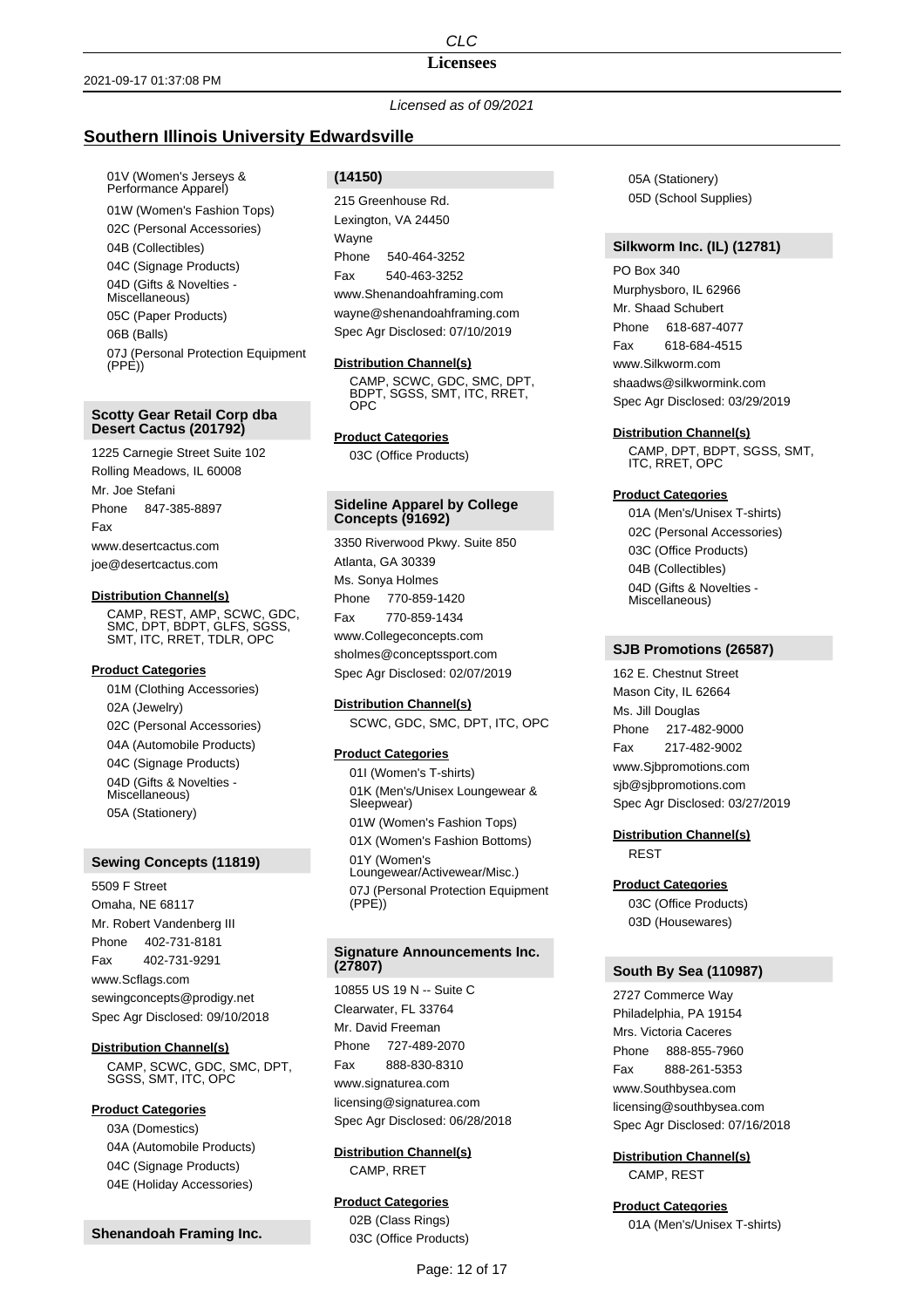## **Licensees**

*Licensed as of 09/2021*

# **Southern Illinois University Edwardsville**

01V (Women's Jerseys & Performance Apparel) 01W (Women's Fashion Tops) 02C (Personal Accessories) 04B (Collectibles) 04C (Signage Products) 04D (Gifts & Novelties - Miscellaneous) 05C (Paper Products) 06B (Balls) 07J (Personal Protection Equipment  $(PP<sub>E</sub>)$ 

## **Scotty Gear Retail Corp dba Desert Cactus (201792)**

1225 Carnegie Street Suite 102 Rolling Meadows, IL 60008 Mr. Joe Stefani Phone 847-385-8897 Fax www.desertcactus.com joe@desertcactus.com

#### **Distribution Channel(s)**

CAMP, REST, AMP, SCWC, GDC, SMC, DPT, BDPT, GLFS, SGSS, SMT, ITC, RRET, TDLR, OPC

## **Product Categories**

01M (Clothing Accessories) 02A (Jewelry) 02C (Personal Accessories) 04A (Automobile Products) 04C (Signage Products) 04D (Gifts & Novelties - Miscellaneous) 05A (Stationery)

### **Sewing Concepts (11819)**

5509 F Street Omaha, NE 68117 Mr. Robert Vandenberg III Phone 402-731-8181 Fax 402-731-9291 www.Scflags.com sewingconcepts@prodigy.net Spec Agr Disclosed: 09/10/2018

**Distribution Channel(s)** CAMP, SCWC, GDC, SMC, DPT, SGSS, SMT, ITC, OPC

## **Product Categories**

03A (Domestics) 04A (Automobile Products) 04C (Signage Products) 04E (Holiday Accessories)

**Shenandoah Framing Inc.**

# **(14150)**

215 Greenhouse Rd. Lexington, VA 24450 Wayne Phone 540-464-3252 Fax 540-463-3252 www.Shenandoahframing.com wayne@shenandoahframing.com Spec Agr Disclosed: 07/10/2019

#### **Distribution Channel(s)**

CAMP, SCWC, GDC, SMC, DPT, BDPT, SGSS, SMT, ITC, RRET, OPC

### **Product Categories**

03C (Office Products)

### **Sideline Apparel by College Concepts (91692)**

3350 Riverwood Pkwy. Suite 850 Atlanta, GA 30339 Ms. Sonya Holmes Phone 770-859-1420 Fax 770-859-1434 www.Collegeconcepts.com sholmes@conceptssport.com

Spec Agr Disclosed: 02/07/2019

## **Distribution Channel(s)**

SCWC, GDC, SMC, DPT, ITC, OPC

## **Product Categories**

01I (Women's T-shirts) 01K (Men's/Unisex Loungewear & Sleepwear) 01W (Women's Fashion Tops) 01X (Women's Fashion Bottoms) 01Y (Women's Loungewear/Activewear/Misc.) 07J (Personal Protection Equipment  $(PPE)$ 

#### **Signature Announcements Inc. (27807)**

10855 US 19 N -- Suite C Clearwater, FL 33764 Mr. David Freeman Phone 727-489-2070 Fax 888-830-8310 www.signaturea.com licensing@signaturea.com Spec Agr Disclosed: 06/28/2018

## **Distribution Channel(s)** CAMP, RRET

# **Product Categories**

02B (Class Rings) 03C (Office Products) 05A (Stationery) 05D (School Supplies)

## **Silkworm Inc. (IL) (12781)**

PO Box 340 Murphysboro, IL 62966 Mr. Shaad Schubert Phone 618-687-4077 Fax 618-684-4515 www.Silkworm.com shaadws@silkwormink.com Spec Agr Disclosed: 03/29/2019

### **Distribution Channel(s)**

CAMP, DPT, BDPT, SGSS, SMT, ITC, RRET, OPC

#### **Product Categories**

01A (Men's/Unisex T-shirts) 02C (Personal Accessories) 03C (Office Products) 04B (Collectibles) 04D (Gifts & Novelties - Miscellaneous)

## **SJB Promotions (26587)**

162 E. Chestnut Street Mason City, IL 62664 Ms. Jill Douglas Phone 217-482-9000 Fax 217-482-9002 www.Sjbpromotions.com sjb@sjbpromotions.com Spec Agr Disclosed: 03/27/2019

**Distribution Channel(s)** REST

#### **Product Categories**

03C (Office Products) 03D (Housewares)

#### **South By Sea (110987)**

2727 Commerce Way Philadelphia, PA 19154 Mrs. Victoria Caceres Phone 888-855-7960 Fax 888-261-5353 www.Southbysea.com licensing@southbysea.com Spec Agr Disclosed: 07/16/2018

## **Distribution Channel(s)**

CAMP, REST

**Product Categories** 01A (Men's/Unisex T-shirts)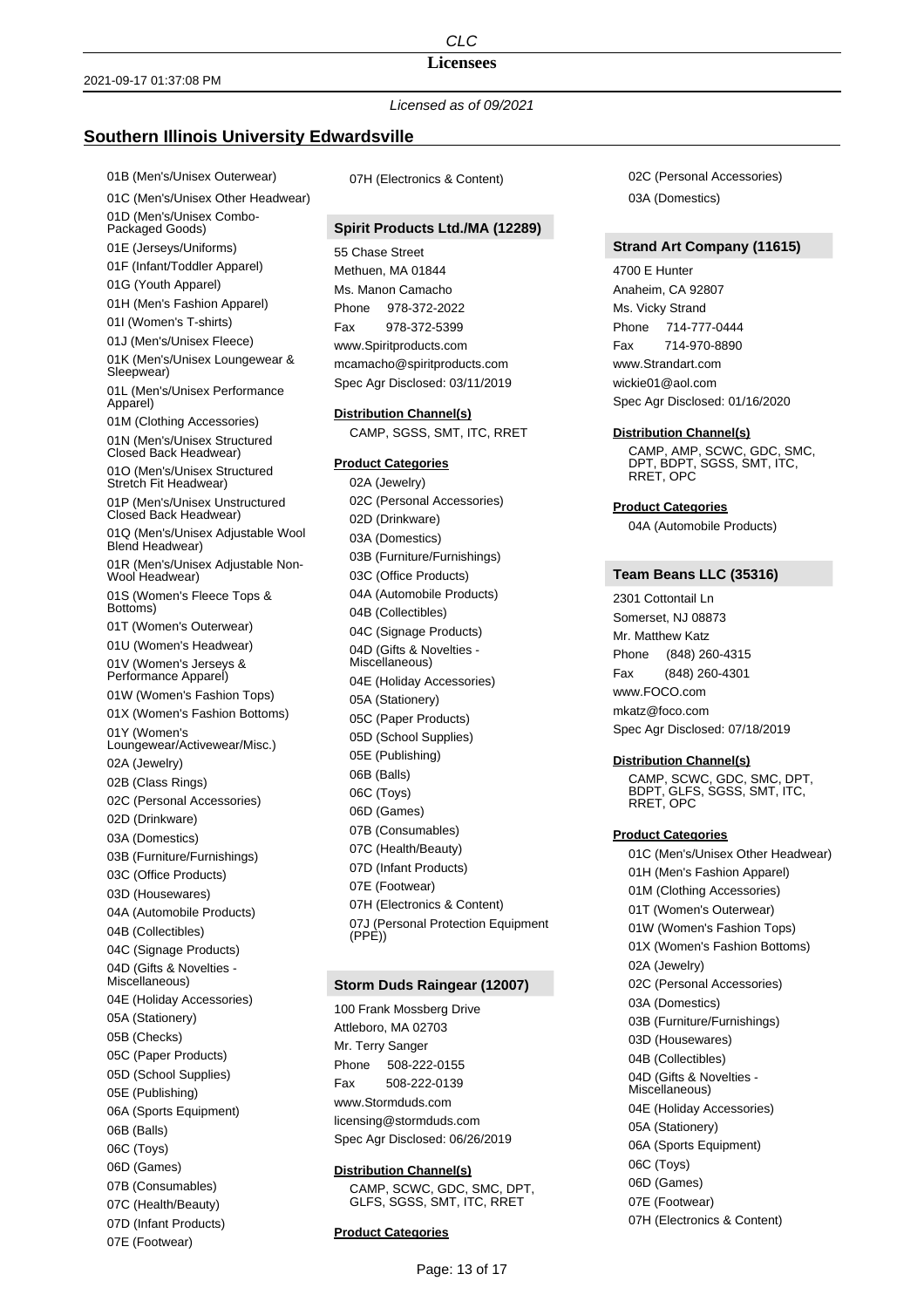# **Licensees**

*Licensed as of 09/2021*

# **Southern Illinois University Edwardsville**

01B (Men's/Unisex Outerwear) 01C (Men's/Unisex Other Headwear) 01D (Men's/Unisex Combo-Packaged Goods) 01E (Jerseys/Uniforms) 01F (Infant/Toddler Apparel) 01G (Youth Apparel) 01H (Men's Fashion Apparel) 01I (Women's T-shirts) 01J (Men's/Unisex Fleece) 01K (Men's/Unisex Loungewear & Sleepwear) 01L (Men's/Unisex Performance Apparel) 01M (Clothing Accessories) 01N (Men's/Unisex Structured Closed Back Headwear) 01O (Men's/Unisex Structured Stretch Fit Headwear) 01P (Men's/Unisex Unstructured Closed Back Headwear) 01Q (Men's/Unisex Adjustable Wool Blend Headwear) 01R (Men's/Unisex Adjustable Non-Wool Headwear) 01S (Women's Fleece Tops & Bottoms) 01T (Women's Outerwear) 01U (Women's Headwear) 01V (Women's Jerseys & Performance Apparel) 01W (Women's Fashion Tops) 01X (Women's Fashion Bottoms) 01Y (Women's Loungewear/Activewear/Misc.) 02A (Jewelry) 02B (Class Rings) 02C (Personal Accessories) 02D (Drinkware) 03A (Domestics) 03B (Furniture/Furnishings) 03C (Office Products) 03D (Housewares) 04A (Automobile Products) 04B (Collectibles) 04C (Signage Products) 04D (Gifts & Novelties - Miscellaneous) 04E (Holiday Accessories) 05A (Stationery) 05B (Checks) 05C (Paper Products) 05D (School Supplies) 05E (Publishing) 06A (Sports Equipment) 06B (Balls) 06C (Toys) 06D (Games) 07B (Consumables) 07C (Health/Beauty) 07D (Infant Products) 07E (Footwear)

07H (Electronics & Content)

# **Spirit Products Ltd./MA (12289)**

55 Chase Street Methuen, MA 01844 Ms. Manon Camacho Phone 978-372-2022 Fax 978-372-5399 www.Spiritproducts.com mcamacho@spiritproducts.com Spec Agr Disclosed: 03/11/2019

**Distribution Channel(s)** CAMP, SGSS, SMT, ITC, RRET

#### **Product Categories**

02A (Jewelry) 02C (Personal Accessories) 02D (Drinkware) 03A (Domestics) 03B (Furniture/Furnishings) 03C (Office Products) 04A (Automobile Products) 04B (Collectibles) 04C (Signage Products) 04D (Gifts & Novelties - Miscellaneous) 04E (Holiday Accessories) 05A (Stationery) 05C (Paper Products) 05D (School Supplies) 05E (Publishing) 06B (Balls) 06C (Toys) 06D (Games) 07B (Consumables) 07C (Health/Beauty) 07D (Infant Products) 07E (Footwear) 07H (Electronics & Content) 07J (Personal Protection Equipment  $(PPF)$ 

## **Storm Duds Raingear (12007)**

100 Frank Mossberg Drive Attleboro, MA 02703 Mr. Terry Sanger Phone 508-222-0155 Fax 508-222-0139 www.Stormduds.com licensing@stormduds.com Spec Agr Disclosed: 06/26/2019

#### **Distribution Channel(s)**

CAMP, SCWC, GDC, SMC, DPT, GLFS, SGSS, SMT, ITC, RRET

## **Product Categories**

02C (Personal Accessories) 03A (Domestics)

## **Strand Art Company (11615)**

4700 E Hunter Anaheim, CA 92807 Ms. Vicky Strand Phone 714-777-0444 Fax 714-970-8890 www.Strandart.com wickie01@aol.com Spec Agr Disclosed: 01/16/2020

#### **Distribution Channel(s)**

CAMP, AMP, SCWC, GDC, SMC, DPT, BDPT, SGSS, SMT, ITC, RRET, OPC

#### **Product Categories**

04A (Automobile Products)

## **Team Beans LLC (35316)**

2301 Cottontail Ln Somerset, NJ 08873 Mr. Matthew Katz Phone (848) 260-4315 Fax (848) 260-4301 www.FOCO.com mkatz@foco.com Spec Agr Disclosed: 07/18/2019

#### **Distribution Channel(s)**

CAMP, SCWC, GDC, SMC, DPT, BDPT, GLFS, SGSS, SMT, ITC, RRET, OPC

#### **Product Categories**

01C (Men's/Unisex Other Headwear) 01H (Men's Fashion Apparel) 01M (Clothing Accessories) 01T (Women's Outerwear) 01W (Women's Fashion Tops) 01X (Women's Fashion Bottoms) 02A (Jewelry) 02C (Personal Accessories) 03A (Domestics) 03B (Furniture/Furnishings) 03D (Housewares) 04B (Collectibles) 04D (Gifts & Novelties - Miscellaneous) 04E (Holiday Accessories) 05A (Stationery) 06A (Sports Equipment) 06C (Toys) 06D (Games) 07E (Footwear) 07H (Electronics & Content)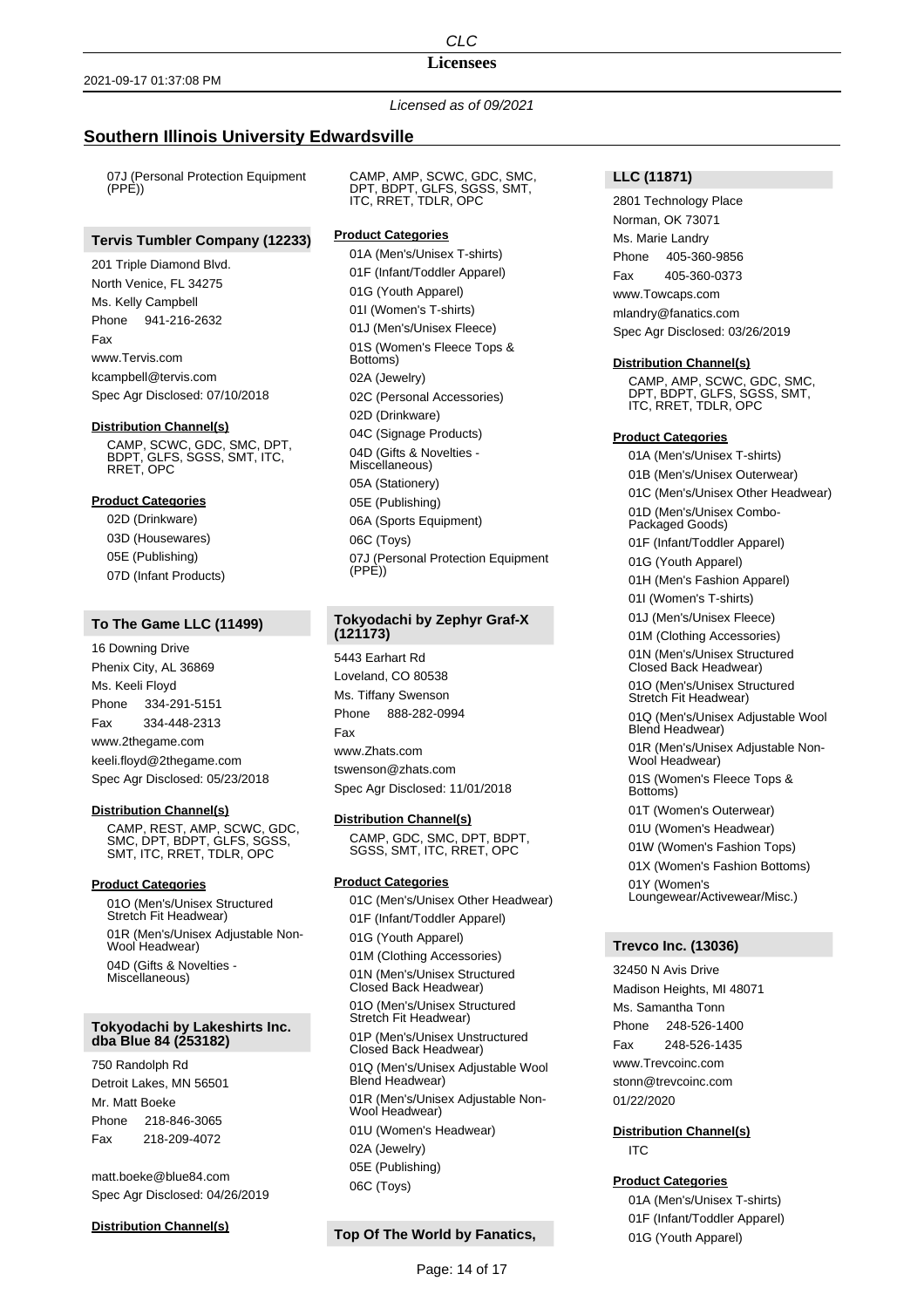## **Licensees**

*Licensed as of 09/2021*

# **Southern Illinois University Edwardsville**

07J (Personal Protection Equipment (PPE))

# **Tervis Tumbler Company (12233)**

201 Triple Diamond Blvd. North Venice, FL 34275 Ms. Kelly Campbell Phone 941-216-2632 Fax www.Tervis.com kcampbell@tervis.com Spec Agr Disclosed: 07/10/2018

#### **Distribution Channel(s)**

CAMP, SCWC, GDC, SMC, DPT, BDPT, GLFS, SGSS, SMT, ITC, RRET, OPC

## **Product Categories**

02D (Drinkware) 03D (Housewares) 05E (Publishing) 07D (Infant Products)

## **To The Game LLC (11499)**

16 Downing Drive Phenix City, AL 36869 Ms. Keeli Floyd Phone 334-291-5151 Fax 334-448-2313 www.2thegame.com keeli.floyd@2thegame.com Spec Agr Disclosed: 05/23/2018

#### **Distribution Channel(s)**

CAMP, REST, AMP, SCWC, GDC, SMC, DPT, BDPT, GLFS, SGSS, SMT, ITC, RRET, TDLR, OPC

#### **Product Categories**

01O (Men's/Unisex Structured Stretch Fit Headwear) 01R (Men's/Unisex Adjustable Non-Wool Headwear) 04D (Gifts & Novelties - Miscellaneous)

#### **Tokyodachi by Lakeshirts Inc. dba Blue 84 (253182)**

750 Randolph Rd Detroit Lakes, MN 56501 Mr. Matt Boeke Phone 218-846-3065 Fax 218-209-4072

matt.boeke@blue84.com Spec Agr Disclosed: 04/26/2019

#### **Distribution Channel(s)**

CAMP, AMP, SCWC, GDC, SMC, DPT, BDPT, GLFS, SGSS, SMT, ITC, RRET, TDLR, OPC

### **Product Categories**

01A (Men's/Unisex T-shirts) 01F (Infant/Toddler Apparel) 01G (Youth Apparel) 01I (Women's T-shirts) 01J (Men's/Unisex Fleece) 01S (Women's Fleece Tops & Bottoms) 02A (Jewelry) 02C (Personal Accessories) 02D (Drinkware) 04C (Signage Products) 04D (Gifts & Novelties - Miscellaneous) 05A (Stationery) 05E (Publishing) 06A (Sports Equipment) 06C (Toys) 07J (Personal Protection Equipment  $(PPE)$ 

# **Tokyodachi by Zephyr Graf-X (121173)**

5443 Earhart Rd Loveland, CO 80538 Ms. Tiffany Swenson Phone 888-282-0994 Fax www.Zhats.com tswenson@zhats.com Spec Agr Disclosed: 11/01/2018

#### **Distribution Channel(s)**

CAMP, GDC, SMC, DPT, BDPT, SGSS, SMT, ITC, RRET, OPC

### **Product Categories**

01C (Men's/Unisex Other Headwear) 01F (Infant/Toddler Apparel) 01G (Youth Apparel) 01M (Clothing Accessories) 01N (Men's/Unisex Structured Closed Back Headwear) 01O (Men's/Unisex Structured Stretch Fit Headwear) 01P (Men's/Unisex Unstructured Closed Back Headwear) 01Q (Men's/Unisex Adjustable Wool Blend Headwear) 01R (Men's/Unisex Adjustable Non-Wool Headwear) 01U (Women's Headwear) 02A (Jewelry) 05E (Publishing) 06C (Toys)

# **Top Of The World by Fanatics,**

2801 Technology Place Norman, OK 73071 Ms. Marie Landry Phone 405-360-9856 Fax 405-360-0373 www.Towcaps.com mlandry@fanatics.com Spec Agr Disclosed: 03/26/2019

### **Distribution Channel(s)**

CAMP, AMP, SCWC, GDC, SMC, DPT, BDPT, GLFS, SGSS, SMT, ITC, RRET, TDLR, OPC

## **Product Categories**

01A (Men's/Unisex T-shirts) 01B (Men's/Unisex Outerwear) 01C (Men's/Unisex Other Headwear) 01D (Men's/Unisex Combo-Packaged Goods) 01F (Infant/Toddler Apparel) 01G (Youth Apparel) 01H (Men's Fashion Apparel) 01I (Women's T-shirts) 01J (Men's/Unisex Fleece) 01M (Clothing Accessories) 01N (Men's/Unisex Structured Closed Back Headwear) 01O (Men's/Unisex Structured Stretch Fit Headwear) 01Q (Men's/Unisex Adjustable Wool Blend Headwear) 01R (Men's/Unisex Adjustable Non-Wool Headwear) 01S (Women's Fleece Tops & Bottoms) 01T (Women's Outerwear) 01U (Women's Headwear) 01W (Women's Fashion Tops) 01X (Women's Fashion Bottoms) 01Y (Women's Loungewear/Activewear/Misc.)

## **Trevco Inc. (13036)**

32450 N Avis Drive Madison Heights, MI 48071 Ms. Samantha Tonn Phone 248-526-1400 Fax 248-526-1435 www.Trevcoinc.com stonn@trevcoinc.com 01/22/2020

**Distribution Channel(s)** ITC

## **Product Categories**

01A (Men's/Unisex T-shirts) 01F (Infant/Toddler Apparel) 01G (Youth Apparel)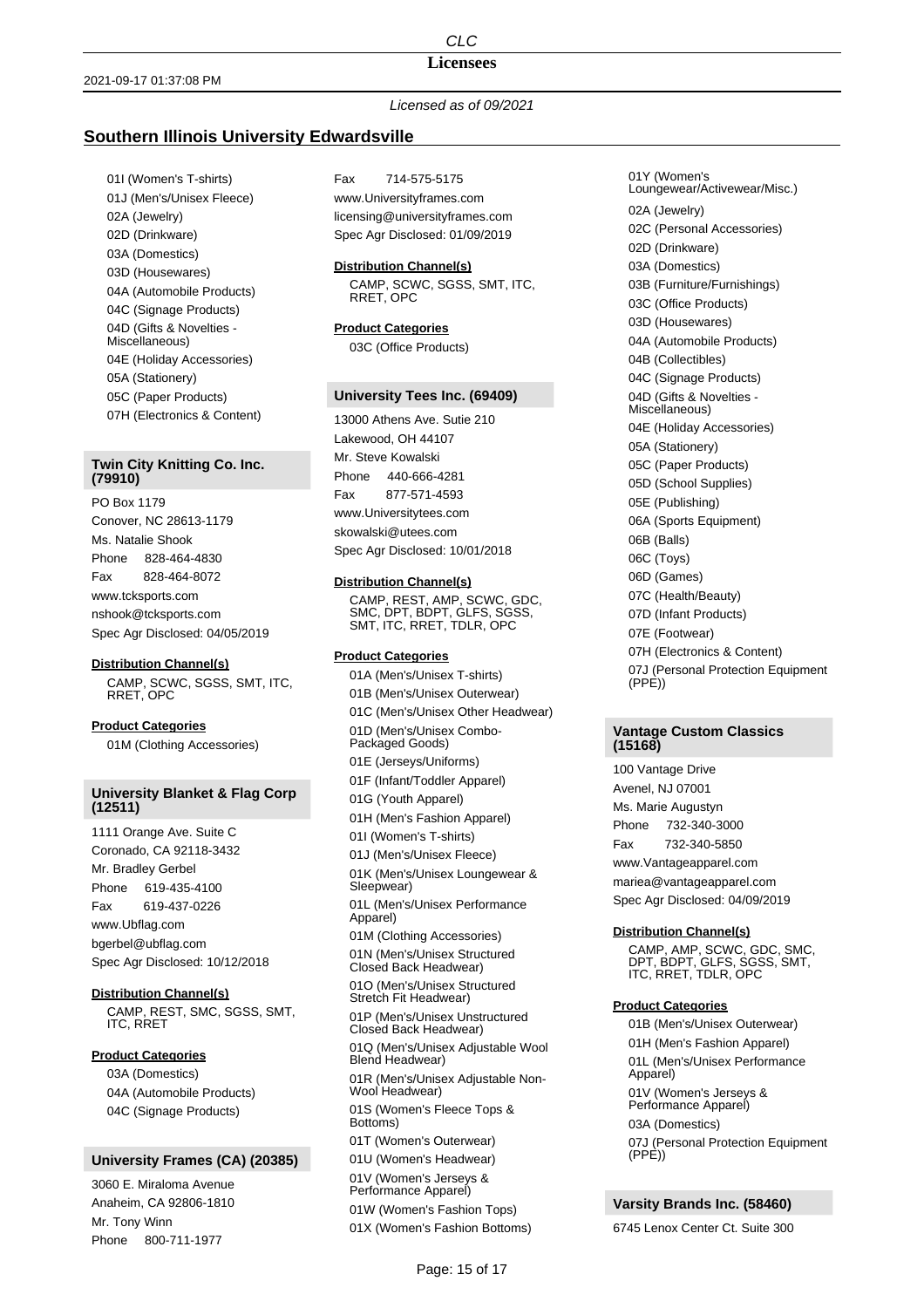#### **Licensees**

## *Licensed as of 09/2021*

## **Southern Illinois University Edwardsville**

01I (Women's T-shirts) 01J (Men's/Unisex Fleece) 02A (Jewelry) 02D (Drinkware) 03A (Domestics) 03D (Housewares) 04A (Automobile Products) 04C (Signage Products) 04D (Gifts & Novelties - Miscellaneous) 04E (Holiday Accessories) 05A (Stationery) 05C (Paper Products) 07H (Electronics & Content)

## **Twin City Knitting Co. Inc. (79910)**

PO Box 1179 Conover, NC 28613-1179 Ms. Natalie Shook Phone 828-464-4830 Fax 828-464-8072 www.tcksports.com nshook@tcksports.com Spec Agr Disclosed: 04/05/2019

### **Distribution Channel(s)**

CAMP, SCWC, SGSS, SMT, ITC, RRET, OPC

**Product Categories** 01M (Clothing Accessories)

## **University Blanket & Flag Corp (12511)**

1111 Orange Ave. Suite C Coronado, CA 92118-3432 Mr. Bradley Gerbel Phone 619-435-4100 Fax 619-437-0226 www.Ubflag.com bgerbel@ubflag.com Spec Agr Disclosed: 10/12/2018

### **Distribution Channel(s)**

CAMP, REST, SMC, SGSS, SMT, ITC, RRET

## **Product Categories**

03A (Domestics) 04A (Automobile Products) 04C (Signage Products)

# **University Frames (CA) (20385)**

3060 E. Miraloma Avenue Anaheim, CA 92806-1810 Mr. Tony Winn Phone 800-711-1977

Fax 714-575-5175 www.Universityframes.com licensing@universityframes.com Spec Agr Disclosed: 01/09/2019

**Distribution Channel(s)**

CAMP, SCWC, SGSS, SMT, ITC, RRET, OPC

# **Product Categories**

03C (Office Products)

#### **University Tees Inc. (69409)**

13000 Athens Ave. Sutie 210 Lakewood, OH 44107 Mr. Steve Kowalski Phone 440-666-4281 Fax 877-571-4593 www.Universitytees.com skowalski@utees.com

Spec Agr Disclosed: 10/01/2018

#### **Distribution Channel(s)**

CAMP, REST, AMP, SCWC, GDC, SMC, DPT, BDPT, GLFS, SGSS, SMT, ITC, RRET, TDLR, OPC

### **Product Categories**

01A (Men's/Unisex T-shirts) 01B (Men's/Unisex Outerwear) 01C (Men's/Unisex Other Headwear) 01D (Men's/Unisex Combo-Packaged Goods) 01E (Jerseys/Uniforms) 01F (Infant/Toddler Apparel) 01G (Youth Apparel) 01H (Men's Fashion Apparel) 01I (Women's T-shirts) 01J (Men's/Unisex Fleece) 01K (Men's/Unisex Loungewear & Sleepwear) 01L (Men's/Unisex Performance Apparel) 01M (Clothing Accessories) 01N (Men's/Unisex Structured Closed Back Headwear) 01O (Men's/Unisex Structured Stretch Fit Headwear) 01P (Men's/Unisex Unstructured Closed Back Headwear) 01Q (Men's/Unisex Adjustable Wool Blend Headwear) 01R (Men's/Unisex Adjustable Non-Wool Headwear) 01S (Women's Fleece Tops & Bottoms) 01T (Women's Outerwear) 01U (Women's Headwear) 01V (Women's Jerseys & Performance Apparel) 01W (Women's Fashion Tops) 01X (Women's Fashion Bottoms)

01Y (Women's Loungewear/Activewear/Misc.) 02A (Jewelry) 02C (Personal Accessories) 02D (Drinkware) 03A (Domestics) 03B (Furniture/Furnishings) 03C (Office Products) 03D (Housewares) 04A (Automobile Products) 04B (Collectibles) 04C (Signage Products) 04D (Gifts & Novelties - Miscellaneous) 04E (Holiday Accessories) 05A (Stationery) 05C (Paper Products) 05D (School Supplies) 05E (Publishing) 06A (Sports Equipment) 06B (Balls) 06C (Toys) 06D (Games) 07C (Health/Beauty) 07D (Infant Products) 07E (Footwear) 07H (Electronics & Content) 07J (Personal Protection Equipment (PPE))

## **Vantage Custom Classics (15168)**

100 Vantage Drive Avenel, NJ 07001 Ms. Marie Augustyn Phone 732-340-3000 Fax 732-340-5850 www.Vantageapparel.com mariea@vantageapparel.com Spec Agr Disclosed: 04/09/2019

#### **Distribution Channel(s)**

CAMP, AMP, SCWC, GDC, SMC, DPT, BDPT, GLFS, SGSS, SMT, ITC, RRET, TDLR, OPC

#### **Product Categories**

01B (Men's/Unisex Outerwear) 01H (Men's Fashion Apparel) 01L (Men's/Unisex Performance Apparel) 01V (Women's Jerseys & Performance Apparel) 03A (Domestics) 07J (Personal Protection Equipment  $(PPE)$ 

# **Varsity Brands Inc. (58460)**

6745 Lenox Center Ct. Suite 300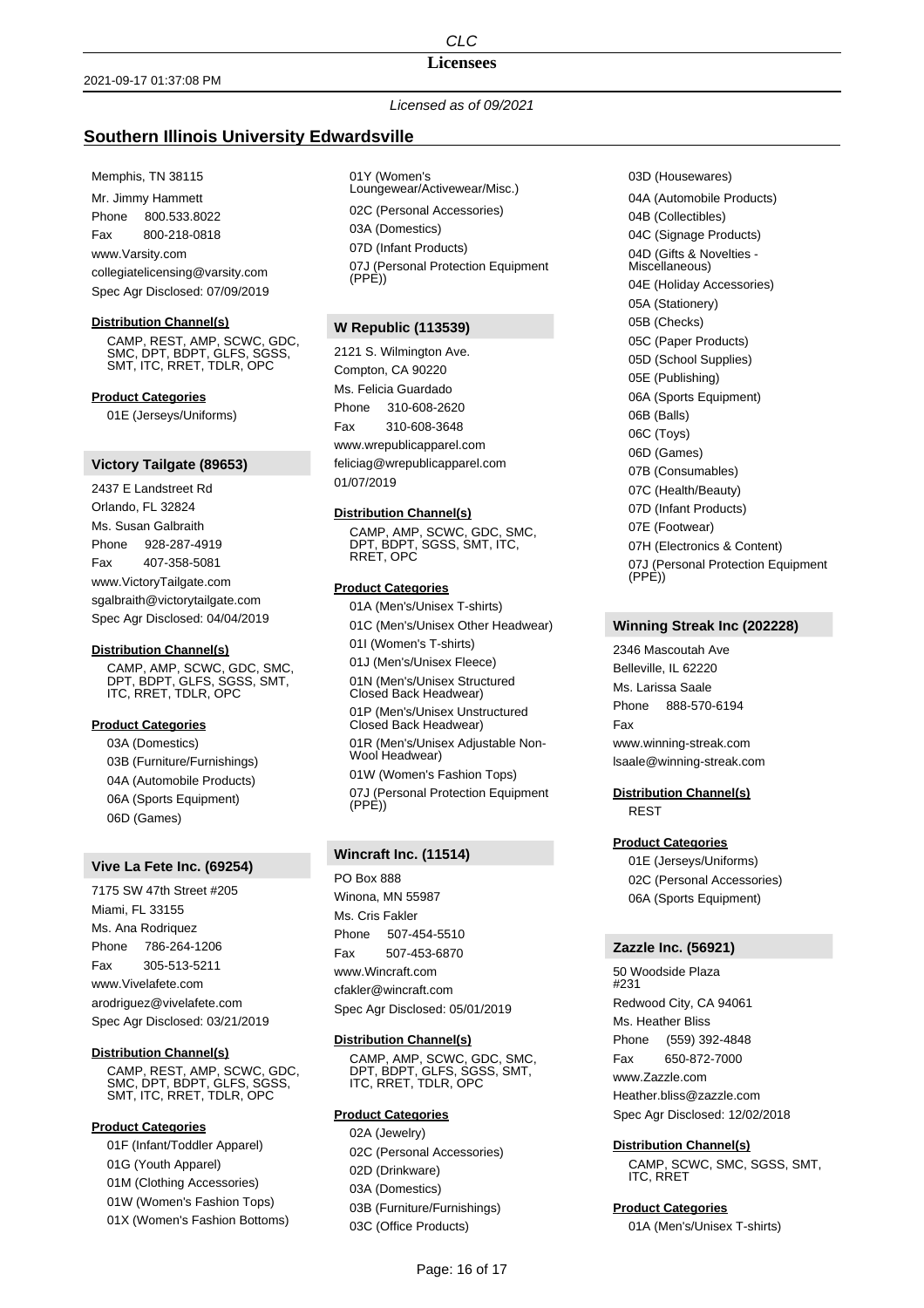## **Licensees**

# *Licensed as of 09/2021*

# **Southern Illinois University Edwardsville**

#### Memphis, TN 38115

Mr. Jimmy Hammett Phone 800.533.8022 Fax 800-218-0818 www.Varsity.com collegiatelicensing@varsity.com Spec Agr Disclosed: 07/09/2019

## **Distribution Channel(s)**

CAMP, REST, AMP, SCWC, GDC, SMC, DPT, BDPT, GLFS, SGSS, SMT, ITC, RRET, TDLR, OPC

**Product Categories**

01E (Jerseys/Uniforms)

## **Victory Tailgate (89653)**

2437 E Landstreet Rd Orlando, FL 32824 Ms. Susan Galbraith Phone 928-287-4919 Fax 407-358-5081 www.VictoryTailgate.com sgalbraith@victorytailgate.com Spec Agr Disclosed: 04/04/2019

#### **Distribution Channel(s)**

CAMP, AMP, SCWC, GDC, SMC, DPT, BDPT, GLFS, SGSS, SMT, ITC, RRET, TDLR, OPC

#### **Product Categories**

03A (Domestics) 03B (Furniture/Furnishings) 04A (Automobile Products) 06A (Sports Equipment) 06D (Games)

#### **Vive La Fete Inc. (69254)**

7175 SW 47th Street #205 Miami, FL 33155 Ms. Ana Rodriquez Phone 786-264-1206 Fax 305-513-5211 www.Vivelafete.com arodriguez@vivelafete.com Spec Agr Disclosed: 03/21/2019

#### **Distribution Channel(s)**

CAMP, REST, AMP, SCWC, GDC, SMC, DPT, BDPT, GLFS, SGSS, SMT, ITC, RRET, TDLR, OPC

## **Product Categories**

01F (Infant/Toddler Apparel) 01G (Youth Apparel) 01M (Clothing Accessories) 01W (Women's Fashion Tops) 01X (Women's Fashion Bottoms) 01Y (Women's Loungewear/Activewear/Misc.) 02C (Personal Accessories) 03A (Domestics) 07D (Infant Products) 07J (Personal Protection Equipment  $(PPE)$ 

### **W Republic (113539)**

2121 S. Wilmington Ave. Compton, CA 90220 Ms. Felicia Guardado Phone 310-608-2620 Fax 310-608-3648 www.wrepublicapparel.com feliciag@wrepublicapparel.com 01/07/2019

#### **Distribution Channel(s)**

CAMP, AMP, SCWC, GDC, SMC, DPT, BDPT, SGSS, SMT, ITC, RRET, OPC

## **Product Categories**

01A (Men's/Unisex T-shirts) 01C (Men's/Unisex Other Headwear) 01I (Women's T-shirts) 01J (Men's/Unisex Fleece) 01N (Men's/Unisex Structured Closed Back Headwear) 01P (Men's/Unisex Unstructured Closed Back Headwear) 01R (Men's/Unisex Adjustable Non-Wool Headwear) 01W (Women's Fashion Tops) 07J (Personal Protection Equipment  $(PPE)$ 

# **Wincraft Inc. (11514)**

PO Box 888 Winona, MN 55987 Ms. Cris Fakler

Phone 507-454-5510 Fax 507-453-6870

www.Wincraft.com

cfakler@wincraft.com

Spec Agr Disclosed: 05/01/2019

#### **Distribution Channel(s)**

CAMP, AMP, SCWC, GDC, SMC, DPT, BDPT, GLFS, SGSS, SMT, ITC, RRET, TDLR, OPC

## **Product Categories**

02A (Jewelry) 02C (Personal Accessories) 02D (Drinkware) 03A (Domestics) 03B (Furniture/Furnishings) 03C (Office Products)

03D (Housewares) 04A (Automobile Products) 04B (Collectibles) 04C (Signage Products) 04D (Gifts & Novelties - Miscellaneous) 04E (Holiday Accessories) 05A (Stationery) 05B (Checks) 05C (Paper Products) 05D (School Supplies) 05E (Publishing) 06A (Sports Equipment) 06B (Balls) 06C (Toys) 06D (Games) 07B (Consumables) 07C (Health/Beauty) 07D (Infant Products) 07E (Footwear) 07H (Electronics & Content) 07J (Personal Protection Equipment (PPE))

#### **Winning Streak Inc (202228)**

2346 Mascoutah Ave Belleville, IL 62220 Ms. Larissa Saale Phone 888-570-6194 Fax www.winning-streak.com lsaale@winning-streak.com

**Distribution Channel(s)** REST

## **Product Categories**

01E (Jerseys/Uniforms) 02C (Personal Accessories) 06A (Sports Equipment)

### **Zazzle Inc. (56921)**

50 Woodside Plaza #231 Redwood City, CA 94061 Ms. Heather Bliss Phone (559) 392-4848 Fax 650-872-7000 www.Zazzle.com Heather.bliss@zazzle.com Spec Agr Disclosed: 12/02/2018

### **Distribution Channel(s)**

CAMP, SCWC, SMC, SGSS, SMT, ITC, RRET

#### **Product Categories**

01A (Men's/Unisex T-shirts)